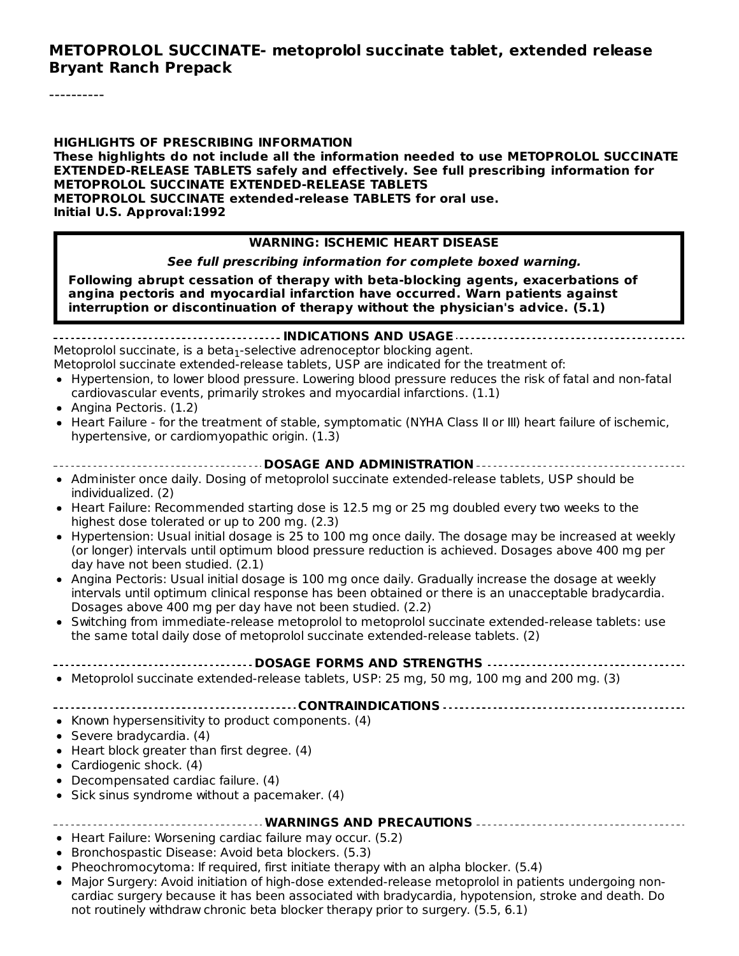#### **METOPROLOL SUCCINATE- metoprolol succinate tablet, extended release Bryant Ranch Prepack**

**HIGHLIGHTS OF PRESCRIBING INFORMATION These highlights do not include all the information needed to use METOPROLOL SUCCINATE EXTENDED-RELEASE TABLETS safely and effectively. See full prescribing information for METOPROLOL SUCCINATE EXTENDED-RELEASE TABLETS METOPROLOL SUCCINATE extended-release TABLETS for oral use. Initial U.S. Approval:1992**

#### **WARNING: ISCHEMIC HEART DISEASE**

**See full prescribing information for complete boxed warning.**

**Following abrupt cessation of therapy with beta-blocking agents, exacerbations of angina pectoris and myocardial infarction have occurred. Warn patients against interruption or discontinuation of therapy without the physician's advice. (5.1)**

#### **INDICATIONS AND USAGE**

Metoprolol succinate, is a beta<sub>1</sub>-selective adrenoceptor blocking agent. Metoprolol succinate extended-release tablets, USP are indicated for the treatment of:

- Hypertension, to lower blood pressure. Lowering blood pressure reduces the risk of fatal and non-fatal cardiovascular events, primarily strokes and myocardial infarctions. (1.1)
- Angina Pectoris. (1.2)
- Heart Failure for the treatment of stable, symptomatic (NYHA Class II or III) heart failure of ischemic, hypertensive, or cardiomyopathic origin. (1.3)
- **DOSAGE AND ADMINISTRATION**
- Administer once daily. Dosing of metoprolol succinate extended-release tablets, USP should be individualized. (2)
- Heart Failure: Recommended starting dose is 12.5 mg or 25 mg doubled every two weeks to the highest dose tolerated or up to 200 mg. (2.3)
- Hypertension: Usual initial dosage is 25 to 100 mg once daily. The dosage may be increased at weekly (or longer) intervals until optimum blood pressure reduction is achieved. Dosages above 400 mg per day have not been studied. (2.1)
- Angina Pectoris: Usual initial dosage is 100 mg once daily. Gradually increase the dosage at weekly intervals until optimum clinical response has been obtained or there is an unacceptable bradycardia. Dosages above 400 mg per day have not been studied. (2.2)
- Switching from immediate-release metoprolol to metoprolol succinate extended-release tablets: use  $\bullet$ the same total daily dose of metoprolol succinate extended-release tablets. (2)

#### **DOSAGE FORMS AND STRENGTHS**

Metoprolol succinate extended-release tablets, USP: 25 mg, 50 mg, 100 mg and 200 mg. (3)

#### **CONTRAINDICATIONS**

- $\bullet$  Known hypersensitivity to product components. (4)
- Severe bradycardia. (4)
- Heart block greater than first degree. (4)
- Cardiogenic shock. (4)
- Decompensated cardiac failure. (4)
- $\bullet$  Sick sinus syndrome without a pacemaker. (4)

#### **WARNINGS AND PRECAUTIONS**

- Heart Failure: Worsening cardiac failure may occur. (5.2)
- Bronchospastic Disease: Avoid beta blockers. (5.3)
- Pheochromocytoma: If required, first initiate therapy with an alpha blocker. (5.4)
- Major Surgery: Avoid initiation of high-dose extended-release metoprolol in patients undergoing noncardiac surgery because it has been associated with bradycardia, hypotension, stroke and death. Do not routinely withdraw chronic beta blocker therapy prior to surgery. (5.5, 6.1)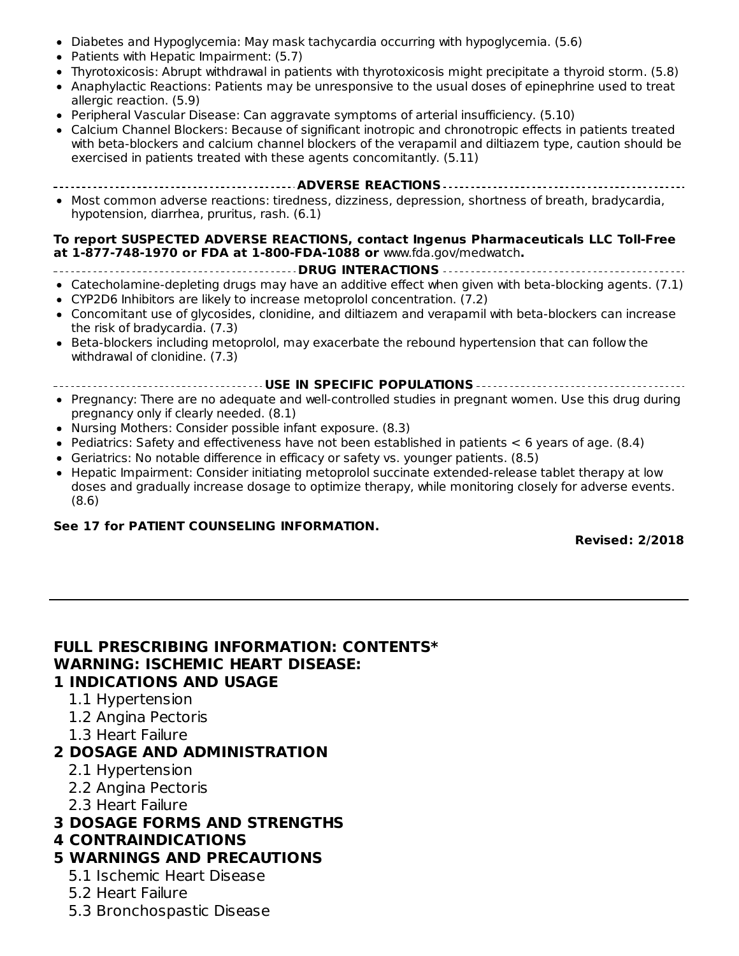- Diabetes and Hypoglycemia: May mask tachycardia occurring with hypoglycemia. (5.6)
- Patients with Hepatic Impairment: (5.7)
- Thyrotoxicosis: Abrupt withdrawal in patients with thyrotoxicosis might precipitate a thyroid storm. (5.8)
- Anaphylactic Reactions: Patients may be unresponsive to the usual doses of epinephrine used to treat allergic reaction. (5.9)
- Peripheral Vascular Disease: Can aggravate symptoms of arterial insufficiency. (5.10)
- Calcium Channel Blockers: Because of significant inotropic and chronotropic effects in patients treated with beta-blockers and calcium channel blockers of the verapamil and diltiazem type, caution should be exercised in patients treated with these agents concomitantly. (5.11)
- **ADVERSE REACTIONS**
- Most common adverse reactions: tiredness, dizziness, depression, shortness of breath, bradycardia, hypotension, diarrhea, pruritus, rash. (6.1)

#### **To report SUSPECTED ADVERSE REACTIONS, contact Ingenus Pharmaceuticals LLC Toll-Free at 1-877-748-1970 or FDA at 1-800-FDA-1088 or** www.fda.gov/medwatch**.**

- **DRUG INTERACTIONS**
- Catecholamine-depleting drugs may have an additive effect when given with beta-blocking agents. (7.1)
- CYP2D6 Inhibitors are likely to increase metoprolol concentration. (7.2)
- Concomitant use of glycosides, clonidine, and diltiazem and verapamil with beta-blockers can increase the risk of bradycardia. (7.3)
- Beta-blockers including metoprolol, may exacerbate the rebound hypertension that can follow the  $\bullet$ withdrawal of clonidine. (7.3)

**USE IN SPECIFIC POPULATIONS**

- Pregnancy: There are no adequate and well-controlled studies in pregnant women. Use this drug during pregnancy only if clearly needed. (8.1)
- Nursing Mothers: Consider possible infant exposure. (8.3)
- Pediatrics: Safety and effectiveness have not been established in patients  $<$  6 years of age. (8.4)
- Geriatrics: No notable difference in efficacy or safety vs. younger patients. (8.5)
- Hepatic Impairment: Consider initiating metoprolol succinate extended-release tablet therapy at low doses and gradually increase dosage to optimize therapy, while monitoring closely for adverse events. (8.6)

#### **See 17 for PATIENT COUNSELING INFORMATION.**

**Revised: 2/2018**

#### **FULL PRESCRIBING INFORMATION: CONTENTS\* WARNING: ISCHEMIC HEART DISEASE: 1 INDICATIONS AND USAGE**

- 1.1 Hypertension
- 1.2 Angina Pectoris
- 1.3 Heart Failure

#### **2 DOSAGE AND ADMINISTRATION**

- 2.1 Hypertension
- 2.2 Angina Pectoris
- 2.3 Heart Failure

#### **3 DOSAGE FORMS AND STRENGTHS**

#### **4 CONTRAINDICATIONS**

#### **5 WARNINGS AND PRECAUTIONS**

- 5.1 Ischemic Heart Disease
- 5.2 Heart Failure
- 5.3 Bronchospastic Disease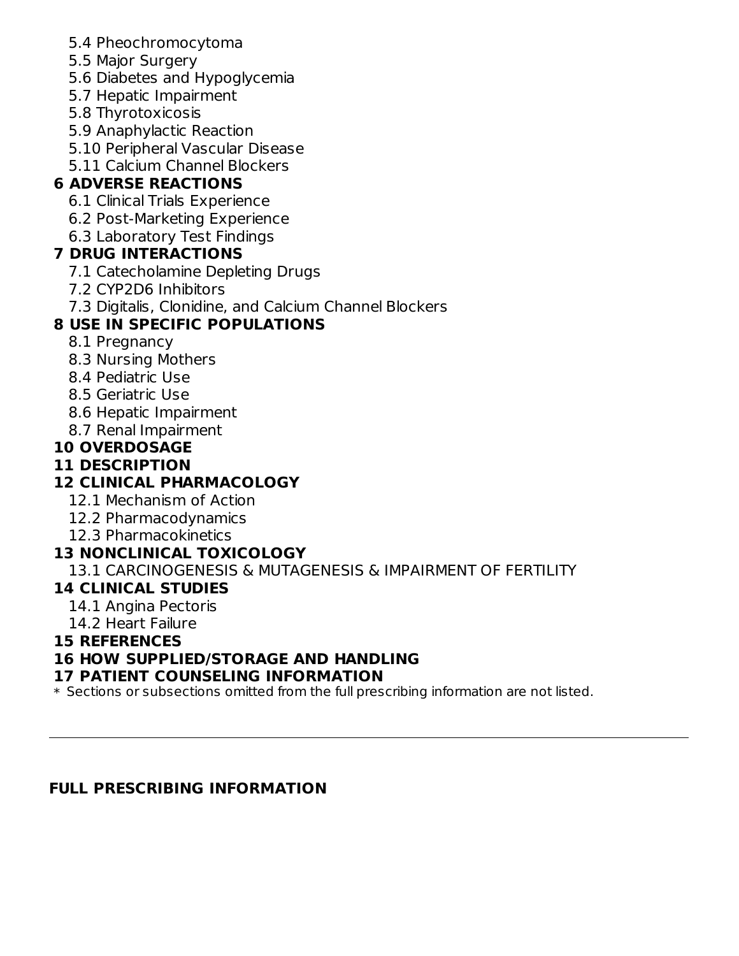- 5.4 Pheochromocytoma
- 5.5 Major Surgery
- 5.6 Diabetes and Hypoglycemia
- 5.7 Hepatic Impairment
- 5.8 Thyrotoxicosis
- 5.9 Anaphylactic Reaction
- 5.10 Peripheral Vascular Disease
- 5.11 Calcium Channel Blockers

# **6 ADVERSE REACTIONS**

- 6.1 Clinical Trials Experience
- 6.2 Post-Marketing Experience
- 6.3 Laboratory Test Findings

## **7 DRUG INTERACTIONS**

- 7.1 Catecholamine Depleting Drugs
- 7.2 CYP2D6 Inhibitors
- 7.3 Digitalis, Clonidine, and Calcium Channel Blockers

# **8 USE IN SPECIFIC POPULATIONS**

- 8.1 Pregnancy
- 8.3 Nursing Mothers
- 8.4 Pediatric Use
- 8.5 Geriatric Use
- 8.6 Hepatic Impairment
- 8.7 Renal Impairment

# **10 OVERDOSAGE**

# **11 DESCRIPTION**

# **12 CLINICAL PHARMACOLOGY**

- 12.1 Mechanism of Action
- 12.2 Pharmacodynamics
- 12.3 Pharmacokinetics

# **13 NONCLINICAL TOXICOLOGY**

13.1 CARCINOGENESIS & MUTAGENESIS & IMPAIRMENT OF FERTILITY

# **14 CLINICAL STUDIES**

- 14.1 Angina Pectoris
- 14.2 Heart Failure

## **15 REFERENCES**

# **16 HOW SUPPLIED/STORAGE AND HANDLING**

## **17 PATIENT COUNSELING INFORMATION**

\* Sections or subsections omitted from the full prescribing information are not listed.

## **FULL PRESCRIBING INFORMATION**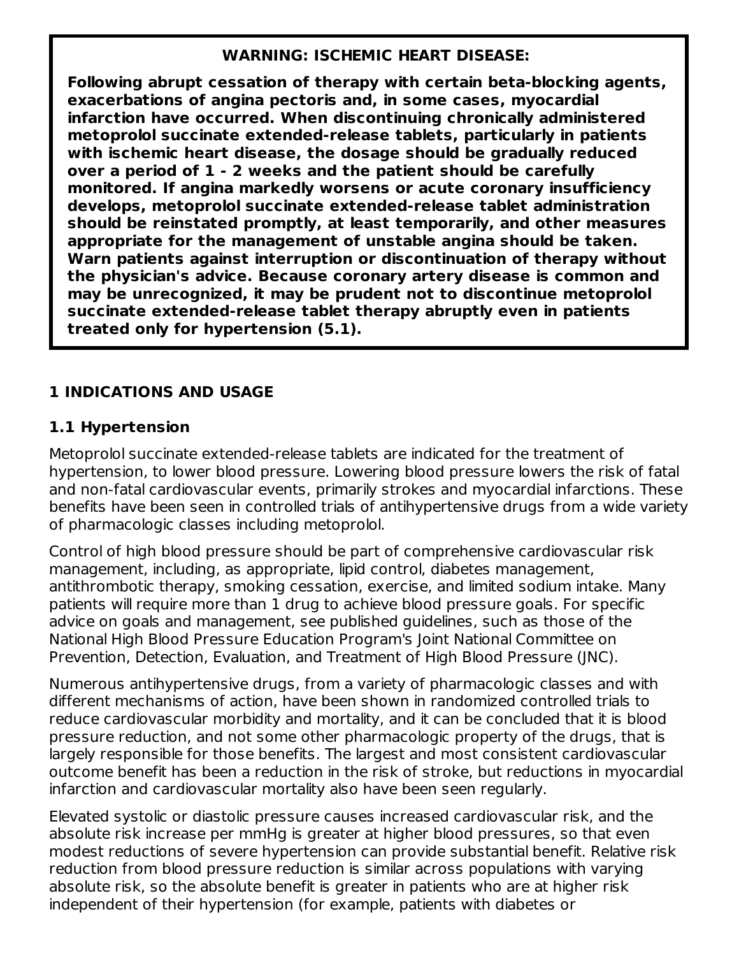#### **WARNING: ISCHEMIC HEART DISEASE:**

**Following abrupt cessation of therapy with certain beta-blocking agents, exacerbations of angina pectoris and, in some cases, myocardial infarction have occurred. When discontinuing chronically administered metoprolol succinate extended-release tablets, particularly in patients with ischemic heart disease, the dosage should be gradually reduced over a period of 1 - 2 weeks and the patient should be carefully monitored. If angina markedly worsens or acute coronary insufficiency develops, metoprolol succinate extended-release tablet administration should be reinstated promptly, at least temporarily, and other measures appropriate for the management of unstable angina should be taken. Warn patients against interruption or discontinuation of therapy without the physician's advice. Because coronary artery disease is common and may be unrecognized, it may be prudent not to discontinue metoprolol succinate extended-release tablet therapy abruptly even in patients treated only for hypertension (5.1).**

## **1 INDICATIONS AND USAGE**

#### **1.1 Hypertension**

Metoprolol succinate extended-release tablets are indicated for the treatment of hypertension, to lower blood pressure. Lowering blood pressure lowers the risk of fatal and non-fatal cardiovascular events, primarily strokes and myocardial infarctions. These benefits have been seen in controlled trials of antihypertensive drugs from a wide variety of pharmacologic classes including metoprolol.

Control of high blood pressure should be part of comprehensive cardiovascular risk management, including, as appropriate, lipid control, diabetes management, antithrombotic therapy, smoking cessation, exercise, and limited sodium intake. Many patients will require more than 1 drug to achieve blood pressure goals. For specific advice on goals and management, see published guidelines, such as those of the National High Blood Pressure Education Program's Joint National Committee on Prevention, Detection, Evaluation, and Treatment of High Blood Pressure (JNC).

Numerous antihypertensive drugs, from a variety of pharmacologic classes and with different mechanisms of action, have been shown in randomized controlled trials to reduce cardiovascular morbidity and mortality, and it can be concluded that it is blood pressure reduction, and not some other pharmacologic property of the drugs, that is largely responsible for those benefits. The largest and most consistent cardiovascular outcome benefit has been a reduction in the risk of stroke, but reductions in myocardial infarction and cardiovascular mortality also have been seen regularly.

Elevated systolic or diastolic pressure causes increased cardiovascular risk, and the absolute risk increase per mmHg is greater at higher blood pressures, so that even modest reductions of severe hypertension can provide substantial benefit. Relative risk reduction from blood pressure reduction is similar across populations with varying absolute risk, so the absolute benefit is greater in patients who are at higher risk independent of their hypertension (for example, patients with diabetes or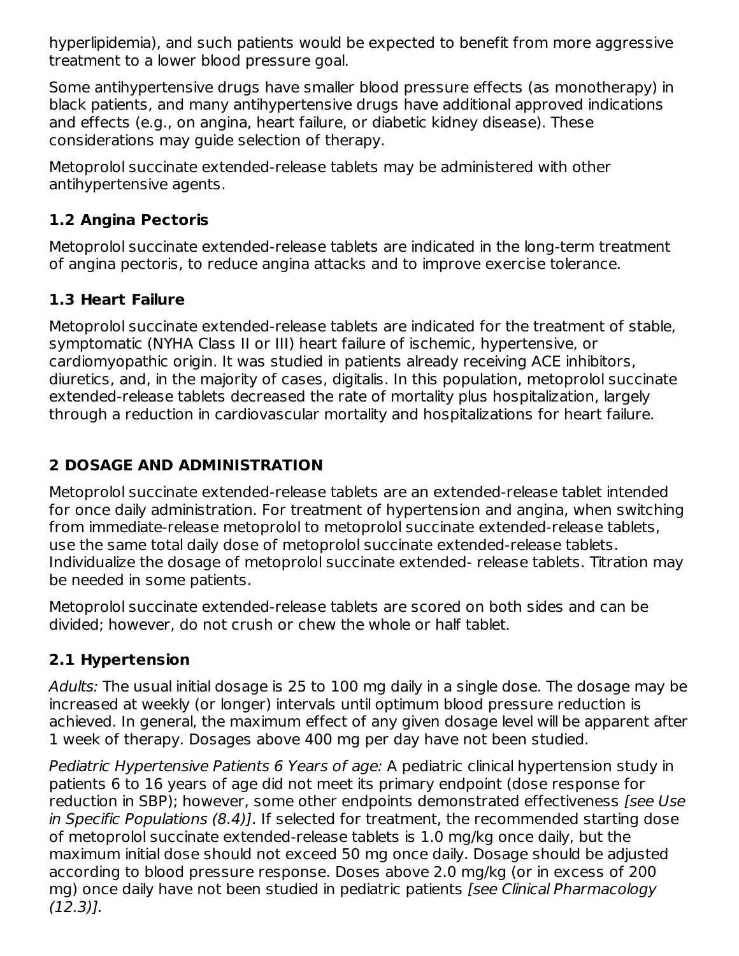hyperlipidemia), and such patients would be expected to benefit from more aggressive treatment to a lower blood pressure goal.

Some antihypertensive drugs have smaller blood pressure effects (as monotherapy) in black patients, and many antihypertensive drugs have additional approved indications and effects (e.g., on angina, heart failure, or diabetic kidney disease). These considerations may guide selection of therapy.

Metoprolol succinate extended-release tablets may be administered with other antihypertensive agents.

## **1.2 Angina Pectoris**

Metoprolol succinate extended-release tablets are indicated in the long-term treatment of angina pectoris, to reduce angina attacks and to improve exercise tolerance.

## **1.3 Heart Failure**

Metoprolol succinate extended-release tablets are indicated for the treatment of stable, symptomatic (NYHA Class II or III) heart failure of ischemic, hypertensive, or cardiomyopathic origin. It was studied in patients already receiving ACE inhibitors, diuretics, and, in the majority of cases, digitalis. In this population, metoprolol succinate extended-release tablets decreased the rate of mortality plus hospitalization, largely through a reduction in cardiovascular mortality and hospitalizations for heart failure.

## **2 DOSAGE AND ADMINISTRATION**

Metoprolol succinate extended-release tablets are an extended-release tablet intended for once daily administration. For treatment of hypertension and angina, when switching from immediate-release metoprolol to metoprolol succinate extended-release tablets, use the same total daily dose of metoprolol succinate extended-release tablets. Individualize the dosage of metoprolol succinate extended- release tablets. Titration may be needed in some patients.

Metoprolol succinate extended-release tablets are scored on both sides and can be divided; however, do not crush or chew the whole or half tablet.

# **2.1 Hypertension**

Adults: The usual initial dosage is 25 to 100 mg daily in a single dose. The dosage may be increased at weekly (or longer) intervals until optimum blood pressure reduction is achieved. In general, the maximum effect of any given dosage level will be apparent after 1 week of therapy. Dosages above 400 mg per day have not been studied.

Pediatric Hypertensive Patients 6 Years of age: A pediatric clinical hypertension study in patients 6 to 16 years of age did not meet its primary endpoint (dose response for reduction in SBP); however, some other endpoints demonstrated effectiveness [see Use in Specific Populations (8.4)]. If selected for treatment, the recommended starting dose of metoprolol succinate extended-release tablets is 1.0 mg/kg once daily, but the maximum initial dose should not exceed 50 mg once daily. Dosage should be adjusted according to blood pressure response. Doses above 2.0 mg/kg (or in excess of 200 mg) once daily have not been studied in pediatric patients [see Clinical Pharmacology (12.3)].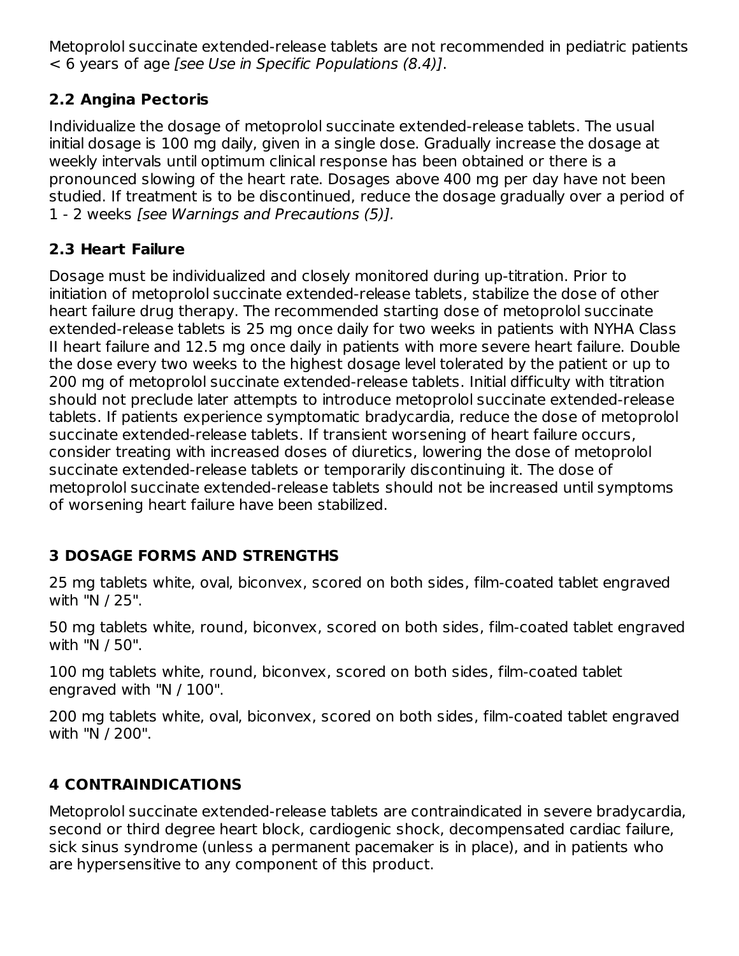Metoprolol succinate extended-release tablets are not recommended in pediatric patients < 6 years of age [see Use in Specific Populations (8.4)].

## **2.2 Angina Pectoris**

Individualize the dosage of metoprolol succinate extended-release tablets. The usual initial dosage is 100 mg daily, given in a single dose. Gradually increase the dosage at weekly intervals until optimum clinical response has been obtained or there is a pronounced slowing of the heart rate. Dosages above 400 mg per day have not been studied. If treatment is to be discontinued, reduce the dosage gradually over a period of 1 - 2 weeks [see Warnings and Precautions (5)].

#### **2.3 Heart Failure**

Dosage must be individualized and closely monitored during up-titration. Prior to initiation of metoprolol succinate extended-release tablets, stabilize the dose of other heart failure drug therapy. The recommended starting dose of metoprolol succinate extended-release tablets is 25 mg once daily for two weeks in patients with NYHA Class II heart failure and 12.5 mg once daily in patients with more severe heart failure. Double the dose every two weeks to the highest dosage level tolerated by the patient or up to 200 mg of metoprolol succinate extended-release tablets. Initial difficulty with titration should not preclude later attempts to introduce metoprolol succinate extended-release tablets. If patients experience symptomatic bradycardia, reduce the dose of metoprolol succinate extended-release tablets. If transient worsening of heart failure occurs, consider treating with increased doses of diuretics, lowering the dose of metoprolol succinate extended-release tablets or temporarily discontinuing it. The dose of metoprolol succinate extended-release tablets should not be increased until symptoms of worsening heart failure have been stabilized.

## **3 DOSAGE FORMS AND STRENGTHS**

25 mg tablets white, oval, biconvex, scored on both sides, film-coated tablet engraved with "N / 25".

50 mg tablets white, round, biconvex, scored on both sides, film-coated tablet engraved with "N / 50".

100 mg tablets white, round, biconvex, scored on both sides, film-coated tablet engraved with "N / 100".

200 mg tablets white, oval, biconvex, scored on both sides, film-coated tablet engraved with "N / 200".

# **4 CONTRAINDICATIONS**

Metoprolol succinate extended-release tablets are contraindicated in severe bradycardia, second or third degree heart block, cardiogenic shock, decompensated cardiac failure, sick sinus syndrome (unless a permanent pacemaker is in place), and in patients who are hypersensitive to any component of this product.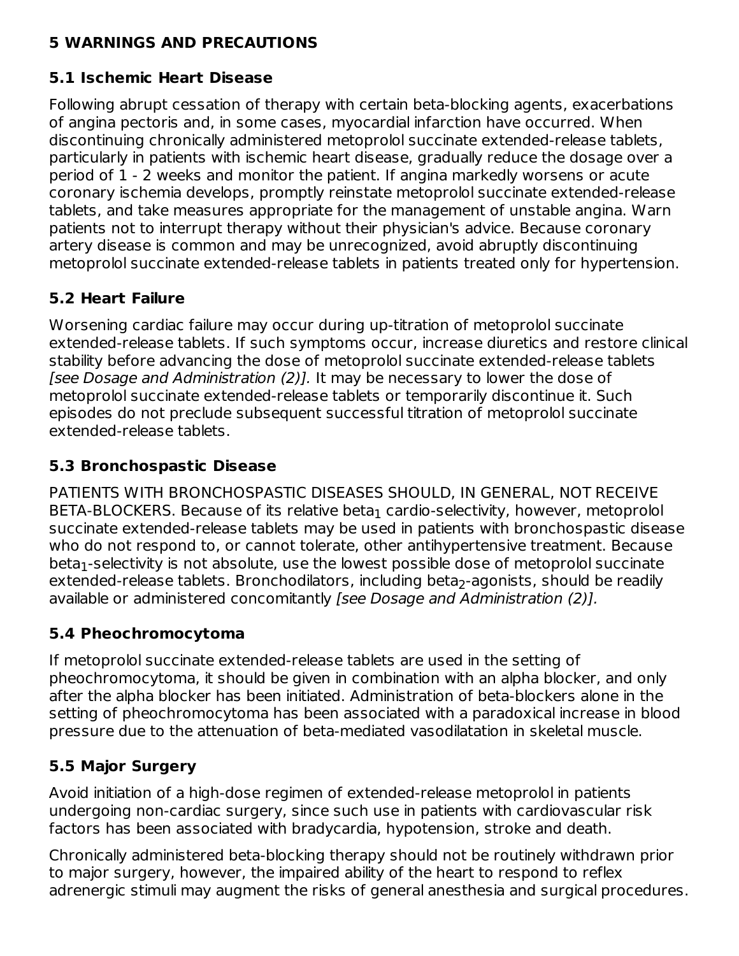#### **5 WARNINGS AND PRECAUTIONS**

#### **5.1 Ischemic Heart Disease**

Following abrupt cessation of therapy with certain beta-blocking agents, exacerbations of angina pectoris and, in some cases, myocardial infarction have occurred. When discontinuing chronically administered metoprolol succinate extended-release tablets, particularly in patients with ischemic heart disease, gradually reduce the dosage over a period of 1 - 2 weeks and monitor the patient. If angina markedly worsens or acute coronary ischemia develops, promptly reinstate metoprolol succinate extended-release tablets, and take measures appropriate for the management of unstable angina. Warn patients not to interrupt therapy without their physician's advice. Because coronary artery disease is common and may be unrecognized, avoid abruptly discontinuing metoprolol succinate extended-release tablets in patients treated only for hypertension.

## **5.2 Heart Failure**

Worsening cardiac failure may occur during up-titration of metoprolol succinate extended-release tablets. If such symptoms occur, increase diuretics and restore clinical stability before advancing the dose of metoprolol succinate extended-release tablets [see Dosage and Administration (2)]. It may be necessary to lower the dose of metoprolol succinate extended-release tablets or temporarily discontinue it. Such episodes do not preclude subsequent successful titration of metoprolol succinate extended-release tablets.

#### **5.3 Bronchospastic Disease**

PATIENTS WITH BRONCHOSPASTIC DISEASES SHOULD, IN GENERAL, NOT RECEIVE  $\mathsf{BETA}\text{-}\mathsf{BLOC} \mathsf{KERS}.$  Because of its relative beta $_1$  cardio-selectivity, however, metoprolol succinate extended-release tablets may be used in patients with bronchospastic disease who do not respond to, or cannot tolerate, other antihypertensive treatment. Because beta $_1$ -selectivity is not absolute, use the lowest possible dose of metoprolol succinate extended-release tablets. Bronchodilators, including beta<sub>2</sub>-agonists, should be readily available or administered concomitantly [see Dosage and Administration (2)].

## **5.4 Pheochromocytoma**

If metoprolol succinate extended-release tablets are used in the setting of pheochromocytoma, it should be given in combination with an alpha blocker, and only after the alpha blocker has been initiated. Administration of beta-blockers alone in the setting of pheochromocytoma has been associated with a paradoxical increase in blood pressure due to the attenuation of beta-mediated vasodilatation in skeletal muscle.

## **5.5 Major Surgery**

Avoid initiation of a high-dose regimen of extended-release metoprolol in patients undergoing non-cardiac surgery, since such use in patients with cardiovascular risk factors has been associated with bradycardia, hypotension, stroke and death.

Chronically administered beta-blocking therapy should not be routinely withdrawn prior to major surgery, however, the impaired ability of the heart to respond to reflex adrenergic stimuli may augment the risks of general anesthesia and surgical procedures.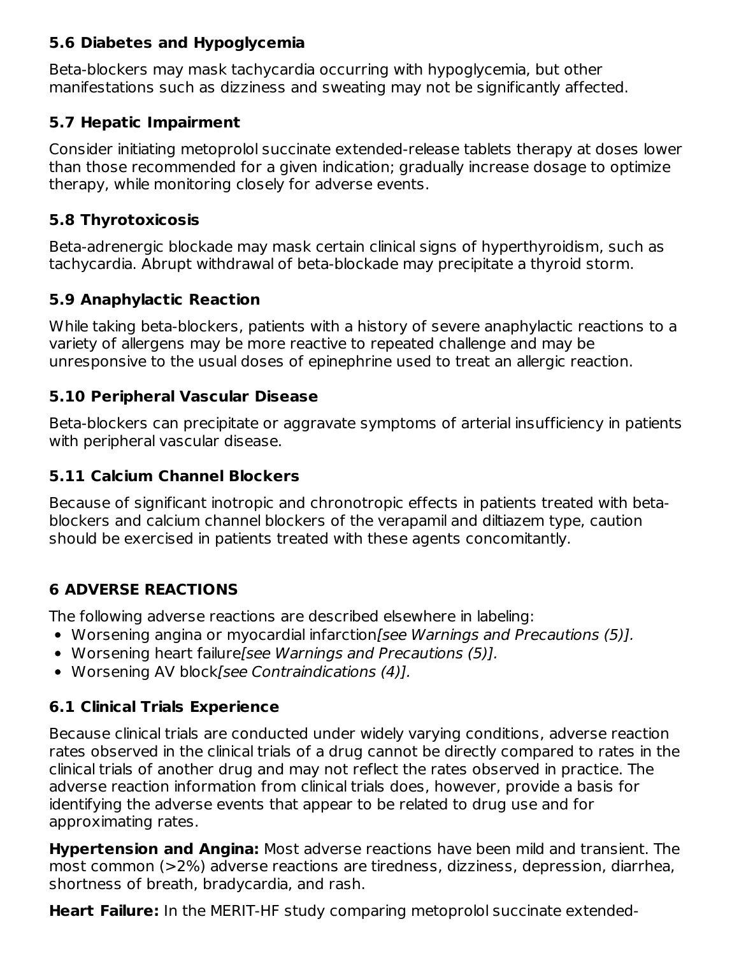#### **5.6 Diabetes and Hypoglycemia**

Beta-blockers may mask tachycardia occurring with hypoglycemia, but other manifestations such as dizziness and sweating may not be significantly affected.

#### **5.7 Hepatic Impairment**

Consider initiating metoprolol succinate extended-release tablets therapy at doses lower than those recommended for a given indication; gradually increase dosage to optimize therapy, while monitoring closely for adverse events.

#### **5.8 Thyrotoxicosis**

Beta-adrenergic blockade may mask certain clinical signs of hyperthyroidism, such as tachycardia. Abrupt withdrawal of beta-blockade may precipitate a thyroid storm.

#### **5.9 Anaphylactic Reaction**

While taking beta-blockers, patients with a history of severe anaphylactic reactions to a variety of allergens may be more reactive to repeated challenge and may be unresponsive to the usual doses of epinephrine used to treat an allergic reaction.

#### **5.10 Peripheral Vascular Disease**

Beta-blockers can precipitate or aggravate symptoms of arterial insufficiency in patients with peripheral vascular disease.

## **5.11 Calcium Channel Blockers**

Because of significant inotropic and chronotropic effects in patients treated with betablockers and calcium channel blockers of the verapamil and diltiazem type, caution should be exercised in patients treated with these agents concomitantly.

## **6 ADVERSE REACTIONS**

The following adverse reactions are described elsewhere in labeling:

- Worsening angina or myocardial infarction[see Warnings and Precautions (5)].
- Worsening heart failure[see Warnings and Precautions (5)].
- Worsening AV block[see Contraindications (4)].

## **6.1 Clinical Trials Experience**

Because clinical trials are conducted under widely varying conditions, adverse reaction rates observed in the clinical trials of a drug cannot be directly compared to rates in the clinical trials of another drug and may not reflect the rates observed in practice. The adverse reaction information from clinical trials does, however, provide a basis for identifying the adverse events that appear to be related to drug use and for approximating rates.

**Hypertension and Angina:** Most adverse reactions have been mild and transient. The most common (>2%) adverse reactions are tiredness, dizziness, depression, diarrhea, shortness of breath, bradycardia, and rash.

**Heart Failure:** In the MERIT-HF study comparing metoprolol succinate extended-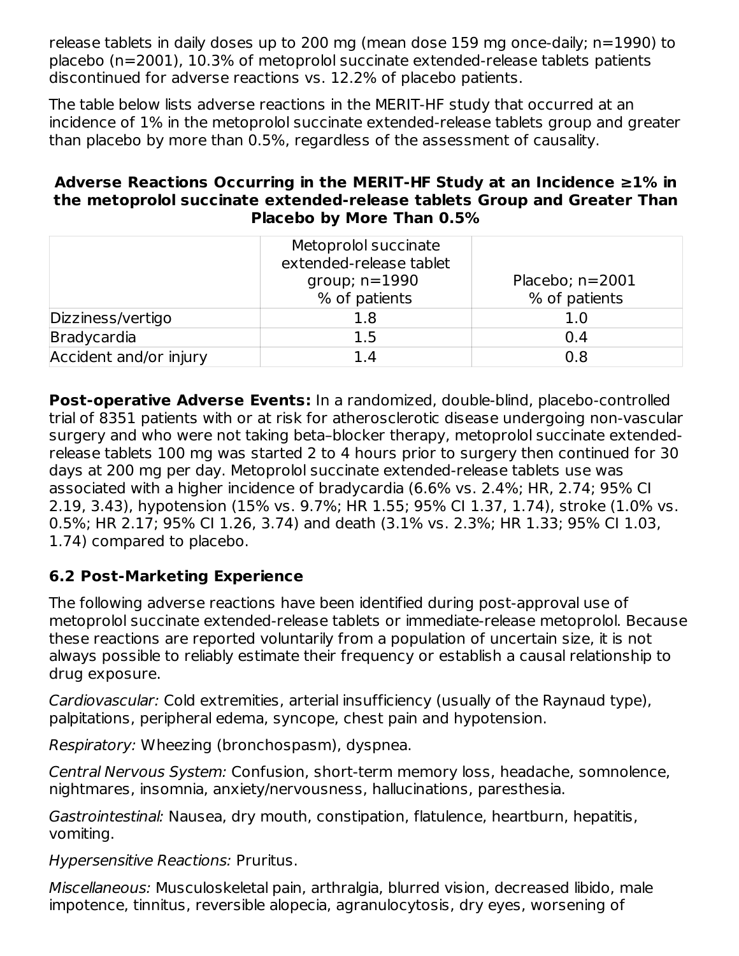release tablets in daily doses up to 200 mg (mean dose 159 mg once-daily; n=1990) to placebo (n=2001), 10.3% of metoprolol succinate extended-release tablets patients discontinued for adverse reactions vs. 12.2% of placebo patients.

The table below lists adverse reactions in the MERIT-HF study that occurred at an incidence of 1% in the metoprolol succinate extended-release tablets group and greater than placebo by more than 0.5%, regardless of the assessment of causality.

#### **Adverse Reactions Occurring in the MERIT-HF Study at an Incidence ≥1% in the metoprolol succinate extended-release tablets Group and Greater Than Placebo by More Than 0.5%**

|                        | Metoprolol succinate<br>extended-release tablet<br>group; $n = 1990$<br>% of patients | Placebo; $n=2001$<br>% of patients |
|------------------------|---------------------------------------------------------------------------------------|------------------------------------|
| Dizziness/vertigo      | 1.8                                                                                   | 1.0                                |
| Bradycardia            | 1.5                                                                                   | 0.4                                |
| Accident and/or injury | 14                                                                                    | 0.8                                |

**Post-operative Adverse Events:** In a randomized, double-blind, placebo-controlled trial of 8351 patients with or at risk for atherosclerotic disease undergoing non-vascular surgery and who were not taking beta–blocker therapy, metoprolol succinate extendedrelease tablets 100 mg was started 2 to 4 hours prior to surgery then continued for 30 days at 200 mg per day. Metoprolol succinate extended-release tablets use was associated with a higher incidence of bradycardia (6.6% vs. 2.4%; HR, 2.74; 95% CI 2.19, 3.43), hypotension (15% vs. 9.7%; HR 1.55; 95% CI 1.37, 1.74), stroke (1.0% vs. 0.5%; HR 2.17; 95% CI 1.26, 3.74) and death (3.1% vs. 2.3%; HR 1.33; 95% CI 1.03, 1.74) compared to placebo.

## **6.2 Post-Marketing Experience**

The following adverse reactions have been identified during post-approval use of metoprolol succinate extended-release tablets or immediate-release metoprolol. Because these reactions are reported voluntarily from a population of uncertain size, it is not always possible to reliably estimate their frequency or establish a causal relationship to drug exposure.

Cardiovascular: Cold extremities, arterial insufficiency (usually of the Raynaud type), palpitations, peripheral edema, syncope, chest pain and hypotension.

Respiratory: Wheezing (bronchospasm), dyspnea.

Central Nervous System: Confusion, short-term memory loss, headache, somnolence, nightmares, insomnia, anxiety/nervousness, hallucinations, paresthesia.

Gastrointestinal: Nausea, dry mouth, constipation, flatulence, heartburn, hepatitis, vomiting.

Hypersensitive Reactions: Pruritus.

Miscellaneous: Musculoskeletal pain, arthralgia, blurred vision, decreased libido, male impotence, tinnitus, reversible alopecia, agranulocytosis, dry eyes, worsening of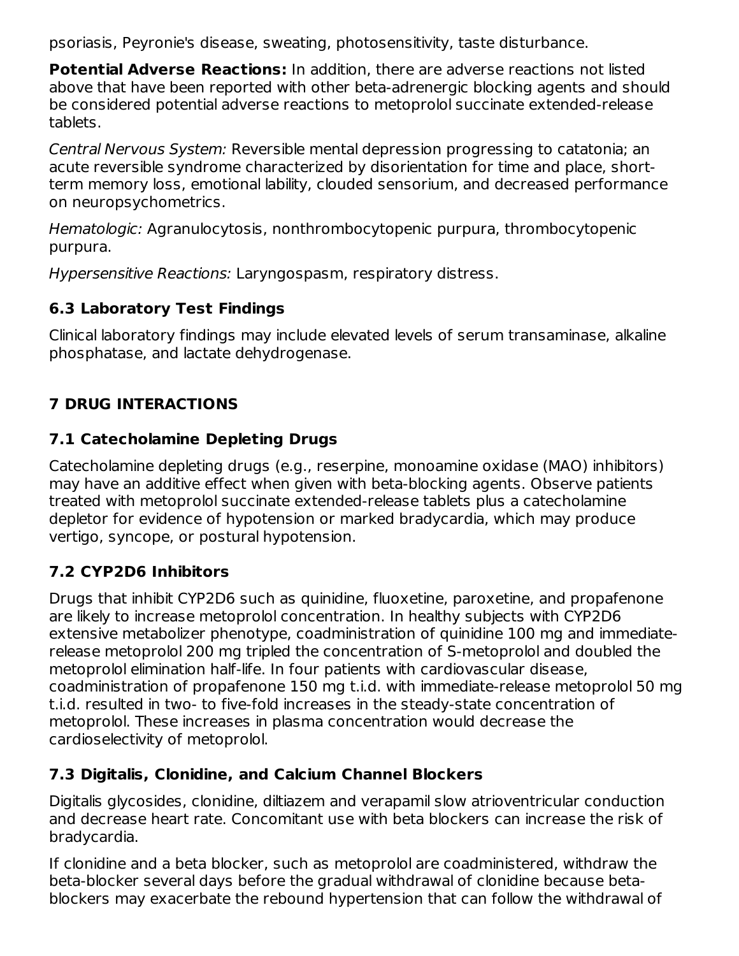psoriasis, Peyronie's disease, sweating, photosensitivity, taste disturbance.

**Potential Adverse Reactions:** In addition, there are adverse reactions not listed above that have been reported with other beta-adrenergic blocking agents and should be considered potential adverse reactions to metoprolol succinate extended-release tablets.

Central Nervous System: Reversible mental depression progressing to catatonia; an acute reversible syndrome characterized by disorientation for time and place, shortterm memory loss, emotional lability, clouded sensorium, and decreased performance on neuropsychometrics.

Hematologic: Agranulocytosis, nonthrombocytopenic purpura, thrombocytopenic purpura.

Hypersensitive Reactions: Laryngospasm, respiratory distress.

#### **6.3 Laboratory Test Findings**

Clinical laboratory findings may include elevated levels of serum transaminase, alkaline phosphatase, and lactate dehydrogenase.

## **7 DRUG INTERACTIONS**

#### **7.1 Catecholamine Depleting Drugs**

Catecholamine depleting drugs (e.g., reserpine, monoamine oxidase (MAO) inhibitors) may have an additive effect when given with beta-blocking agents. Observe patients treated with metoprolol succinate extended-release tablets plus a catecholamine depletor for evidence of hypotension or marked bradycardia, which may produce vertigo, syncope, or postural hypotension.

#### **7.2 CYP2D6 Inhibitors**

Drugs that inhibit CYP2D6 such as quinidine, fluoxetine, paroxetine, and propafenone are likely to increase metoprolol concentration. In healthy subjects with CYP2D6 extensive metabolizer phenotype, coadministration of quinidine 100 mg and immediaterelease metoprolol 200 mg tripled the concentration of S-metoprolol and doubled the metoprolol elimination half-life. In four patients with cardiovascular disease, coadministration of propafenone 150 mg t.i.d. with immediate-release metoprolol 50 mg t.i.d. resulted in two- to five-fold increases in the steady-state concentration of metoprolol. These increases in plasma concentration would decrease the cardioselectivity of metoprolol.

## **7.3 Digitalis, Clonidine, and Calcium Channel Blockers**

Digitalis glycosides, clonidine, diltiazem and verapamil slow atrioventricular conduction and decrease heart rate. Concomitant use with beta blockers can increase the risk of bradycardia.

If clonidine and a beta blocker, such as metoprolol are coadministered, withdraw the beta-blocker several days before the gradual withdrawal of clonidine because betablockers may exacerbate the rebound hypertension that can follow the withdrawal of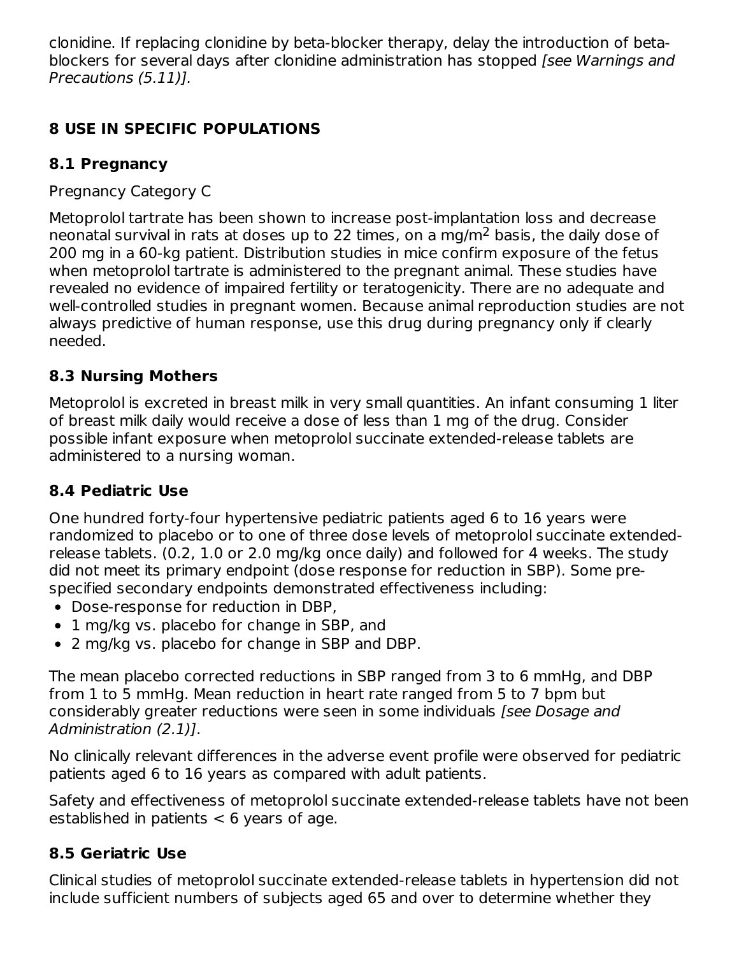clonidine. If replacing clonidine by beta-blocker therapy, delay the introduction of betablockers for several days after clonidine administration has stopped *[see Warnings and* Precautions (5.11)].

## **8 USE IN SPECIFIC POPULATIONS**

# **8.1 Pregnancy**

Pregnancy Category C

Metoprolol tartrate has been shown to increase post-implantation loss and decrease neonatal survival in rats at doses up to 22 times, on a mg/m<sup>2</sup> basis, the daily dose of 200 mg in a 60-kg patient. Distribution studies in mice confirm exposure of the fetus when metoprolol tartrate is administered to the pregnant animal. These studies have revealed no evidence of impaired fertility or teratogenicity. There are no adequate and well-controlled studies in pregnant women. Because animal reproduction studies are not always predictive of human response, use this drug during pregnancy only if clearly needed.

# **8.3 Nursing Mothers**

Metoprolol is excreted in breast milk in very small quantities. An infant consuming 1 liter of breast milk daily would receive a dose of less than 1 mg of the drug. Consider possible infant exposure when metoprolol succinate extended-release tablets are administered to a nursing woman.

# **8.4 Pediatric Use**

One hundred forty-four hypertensive pediatric patients aged 6 to 16 years were randomized to placebo or to one of three dose levels of metoprolol succinate extendedrelease tablets. (0.2, 1.0 or 2.0 mg/kg once daily) and followed for 4 weeks. The study did not meet its primary endpoint (dose response for reduction in SBP). Some prespecified secondary endpoints demonstrated effectiveness including:

- Dose-response for reduction in DBP,
- 1 mg/kg vs. placebo for change in SBP, and
- 2 mg/kg vs. placebo for change in SBP and DBP.

The mean placebo corrected reductions in SBP ranged from 3 to 6 mmHg, and DBP from 1 to 5 mmHg. Mean reduction in heart rate ranged from 5 to 7 bpm but considerably greater reductions were seen in some individuals [see Dosage and Administration (2.1)].

No clinically relevant differences in the adverse event profile were observed for pediatric patients aged 6 to 16 years as compared with adult patients.

Safety and effectiveness of metoprolol succinate extended-release tablets have not been established in patients  $< 6$  years of age.

# **8.5 Geriatric Use**

Clinical studies of metoprolol succinate extended-release tablets in hypertension did not include sufficient numbers of subjects aged 65 and over to determine whether they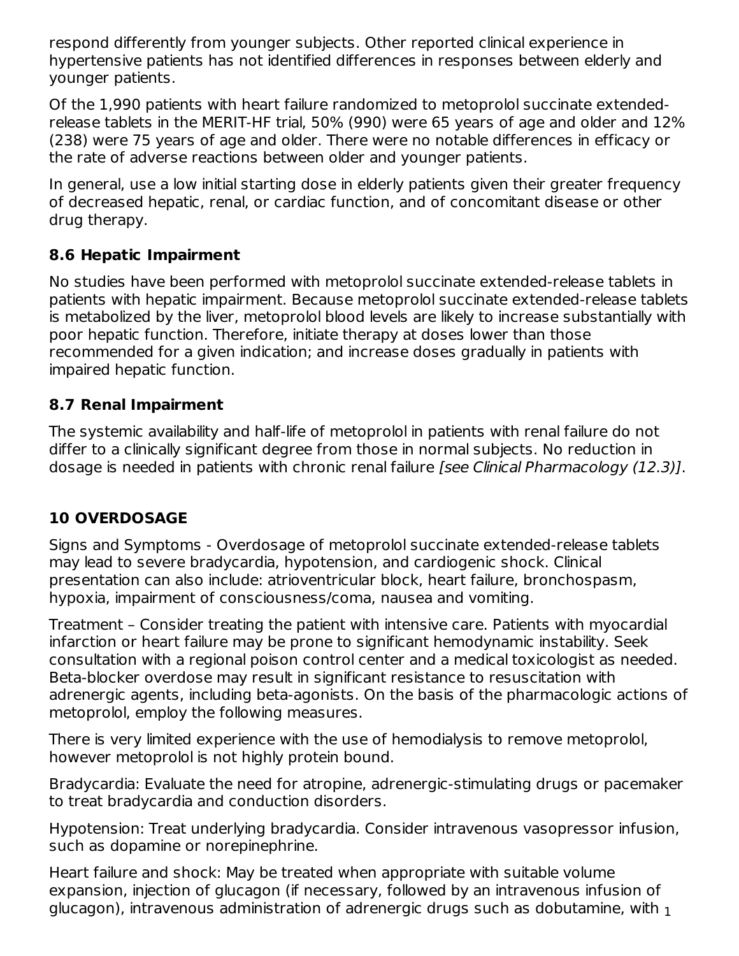respond differently from younger subjects. Other reported clinical experience in hypertensive patients has not identified differences in responses between elderly and younger patients.

Of the 1,990 patients with heart failure randomized to metoprolol succinate extendedrelease tablets in the MERIT-HF trial, 50% (990) were 65 years of age and older and 12% (238) were 75 years of age and older. There were no notable differences in efficacy or the rate of adverse reactions between older and younger patients.

In general, use a low initial starting dose in elderly patients given their greater frequency of decreased hepatic, renal, or cardiac function, and of concomitant disease or other drug therapy.

#### **8.6 Hepatic Impairment**

No studies have been performed with metoprolol succinate extended-release tablets in patients with hepatic impairment. Because metoprolol succinate extended-release tablets is metabolized by the liver, metoprolol blood levels are likely to increase substantially with poor hepatic function. Therefore, initiate therapy at doses lower than those recommended for a given indication; and increase doses gradually in patients with impaired hepatic function.

#### **8.7 Renal Impairment**

The systemic availability and half-life of metoprolol in patients with renal failure do not differ to a clinically significant degree from those in normal subjects. No reduction in dosage is needed in patients with chronic renal failure [see Clinical Pharmacology (12.3)].

## **10 OVERDOSAGE**

Signs and Symptoms - Overdosage of metoprolol succinate extended-release tablets may lead to severe bradycardia, hypotension, and cardiogenic shock. Clinical presentation can also include: atrioventricular block, heart failure, bronchospasm, hypoxia, impairment of consciousness/coma, nausea and vomiting.

Treatment – Consider treating the patient with intensive care. Patients with myocardial infarction or heart failure may be prone to significant hemodynamic instability. Seek consultation with a regional poison control center and a medical toxicologist as needed. Beta-blocker overdose may result in significant resistance to resuscitation with adrenergic agents, including beta-agonists. On the basis of the pharmacologic actions of metoprolol, employ the following measures.

There is very limited experience with the use of hemodialysis to remove metoprolol, however metoprolol is not highly protein bound.

Bradycardia: Evaluate the need for atropine, adrenergic-stimulating drugs or pacemaker to treat bradycardia and conduction disorders.

Hypotension: Treat underlying bradycardia. Consider intravenous vasopressor infusion, such as dopamine or norepinephrine.

Heart failure and shock: May be treated when appropriate with suitable volume expansion, injection of glucagon (if necessary, followed by an intravenous infusion of glucagon), intravenous administration of adrenergic drugs such as dobutamine, with  $_1$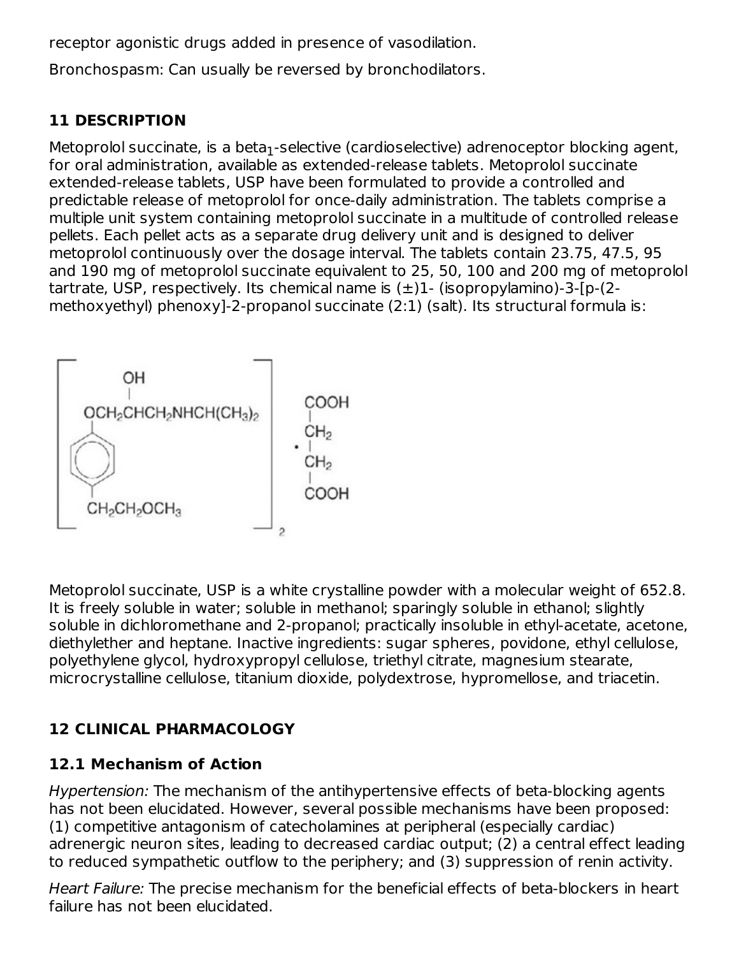receptor agonistic drugs added in presence of vasodilation.

Bronchospasm: Can usually be reversed by bronchodilators.

## **11 DESCRIPTION**

Metoprolol succinate, is a beta $_1$ -selective (cardioselective) adrenoceptor blocking agent, for oral administration, available as extended-release tablets. Metoprolol succinate extended-release tablets, USP have been formulated to provide a controlled and predictable release of metoprolol for once-daily administration. The tablets comprise a multiple unit system containing metoprolol succinate in a multitude of controlled release pellets. Each pellet acts as a separate drug delivery unit and is designed to deliver metoprolol continuously over the dosage interval. The tablets contain 23.75, 47.5, 95 and 190 mg of metoprolol succinate equivalent to 25, 50, 100 and 200 mg of metoprolol tartrate, USP, respectively. Its chemical name is  $(\pm)$ 1- (isopropylamino)-3-[p-(2methoxyethyl) phenoxy]-2-propanol succinate (2:1) (salt). Its structural formula is:



Metoprolol succinate, USP is a white crystalline powder with a molecular weight of 652.8. It is freely soluble in water; soluble in methanol; sparingly soluble in ethanol; slightly soluble in dichloromethane and 2-propanol; practically insoluble in ethyl-acetate, acetone, diethylether and heptane. Inactive ingredients: sugar spheres, povidone, ethyl cellulose, polyethylene glycol, hydroxypropyl cellulose, triethyl citrate, magnesium stearate, microcrystalline cellulose, titanium dioxide, polydextrose, hypromellose, and triacetin.

# **12 CLINICAL PHARMACOLOGY**

## **12.1 Mechanism of Action**

Hypertension: The mechanism of the antihypertensive effects of beta-blocking agents has not been elucidated. However, several possible mechanisms have been proposed: (1) competitive antagonism of catecholamines at peripheral (especially cardiac) adrenergic neuron sites, leading to decreased cardiac output; (2) a central effect leading to reduced sympathetic outflow to the periphery; and (3) suppression of renin activity.

Heart Failure: The precise mechanism for the beneficial effects of beta-blockers in heart failure has not been elucidated.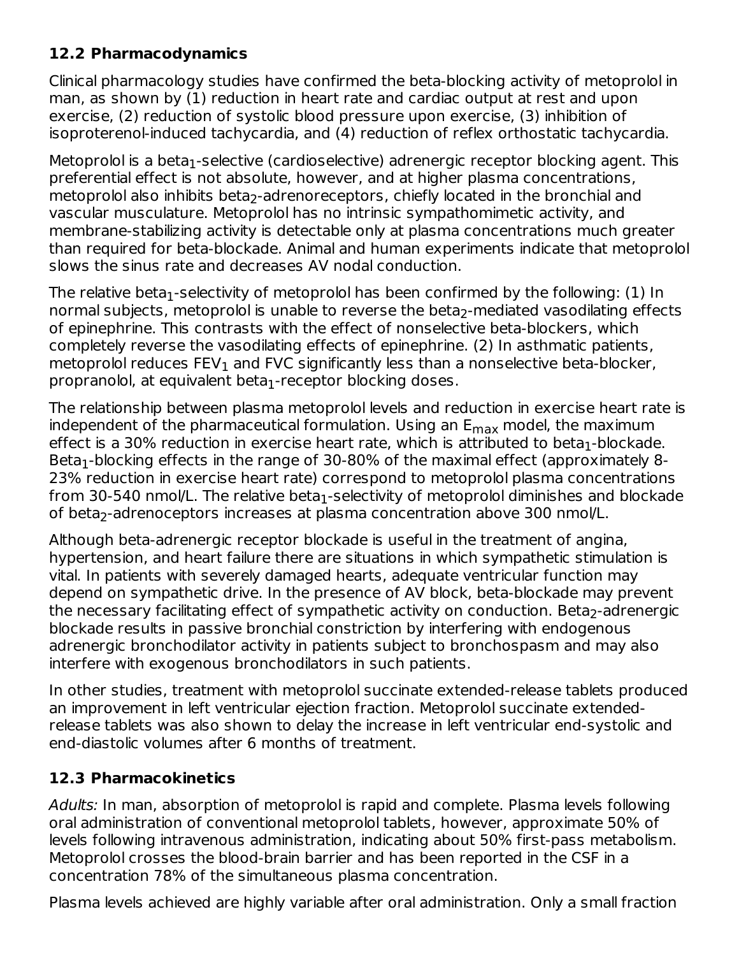#### **12.2 Pharmacodynamics**

Clinical pharmacology studies have confirmed the beta-blocking activity of metoprolol in man, as shown by (1) reduction in heart rate and cardiac output at rest and upon exercise, (2) reduction of systolic blood pressure upon exercise, (3) inhibition of isoproterenol-induced tachycardia, and (4) reduction of reflex orthostatic tachycardia.

Metoprolol is a beta $_1$ -selective (cardioselective) adrenergic receptor blocking agent. This preferential effect is not absolute, however, and at higher plasma concentrations, metoprolol also inhibits beta<sub>2</sub>-adrenoreceptors, chiefly located in the bronchial and vascular musculature. Metoprolol has no intrinsic sympathomimetic activity, and membrane-stabilizing activity is detectable only at plasma concentrations much greater than required for beta-blockade. Animal and human experiments indicate that metoprolol slows the sinus rate and decreases AV nodal conduction.

The relative beta $_1$ -selectivity of metoprolol has been confirmed by the following: (1) In normal subjects, metoprolol is unable to reverse the beta $_2$ -mediated vasodilating effects of epinephrine. This contrasts with the effect of nonselective beta-blockers, which completely reverse the vasodilating effects of epinephrine. (2) In asthmatic patients, metoprolol reduces  $\mathsf{FEV}_1$  and  $\mathsf{FVC}$  significantly less than a nonselective beta-blocker, propranolol, at equivalent beta $_1$ -receptor blocking doses.

The relationship between plasma metoprolol levels and reduction in exercise heart rate is independent of the pharmaceutical formulation. Using an E<sub>max</sub> model, the maximum effect is a 30% reduction in exercise heart rate, which is attributed to beta $_{\rm 1}$ -blockade. Beta $_1$ -blocking effects in the range of 30-80% of the maximal effect (approximately 8- $\,$ 23% reduction in exercise heart rate) correspond to metoprolol plasma concentrations from 30-540 nmol/L. The relative beta $_1$ -selectivity of metoprolol diminishes and blockade of beta $_2$ -adrenoceptors increases at plasma concentration above 300 nmol/L.

Although beta-adrenergic receptor blockade is useful in the treatment of angina, hypertension, and heart failure there are situations in which sympathetic stimulation is vital. In patients with severely damaged hearts, adequate ventricular function may depend on sympathetic drive. In the presence of AV block, beta-blockade may prevent the necessary facilitating effect of sympathetic activity on conduction. Beta<sub>2</sub>-adrenergic blockade results in passive bronchial constriction by interfering with endogenous adrenergic bronchodilator activity in patients subject to bronchospasm and may also interfere with exogenous bronchodilators in such patients.

In other studies, treatment with metoprolol succinate extended-release tablets produced an improvement in left ventricular ejection fraction. Metoprolol succinate extendedrelease tablets was also shown to delay the increase in left ventricular end-systolic and end-diastolic volumes after 6 months of treatment.

## **12.3 Pharmacokinetics**

Adults: In man, absorption of metoprolol is rapid and complete. Plasma levels following oral administration of conventional metoprolol tablets, however, approximate 50% of levels following intravenous administration, indicating about 50% first-pass metabolism. Metoprolol crosses the blood-brain barrier and has been reported in the CSF in a concentration 78% of the simultaneous plasma concentration.

Plasma levels achieved are highly variable after oral administration. Only a small fraction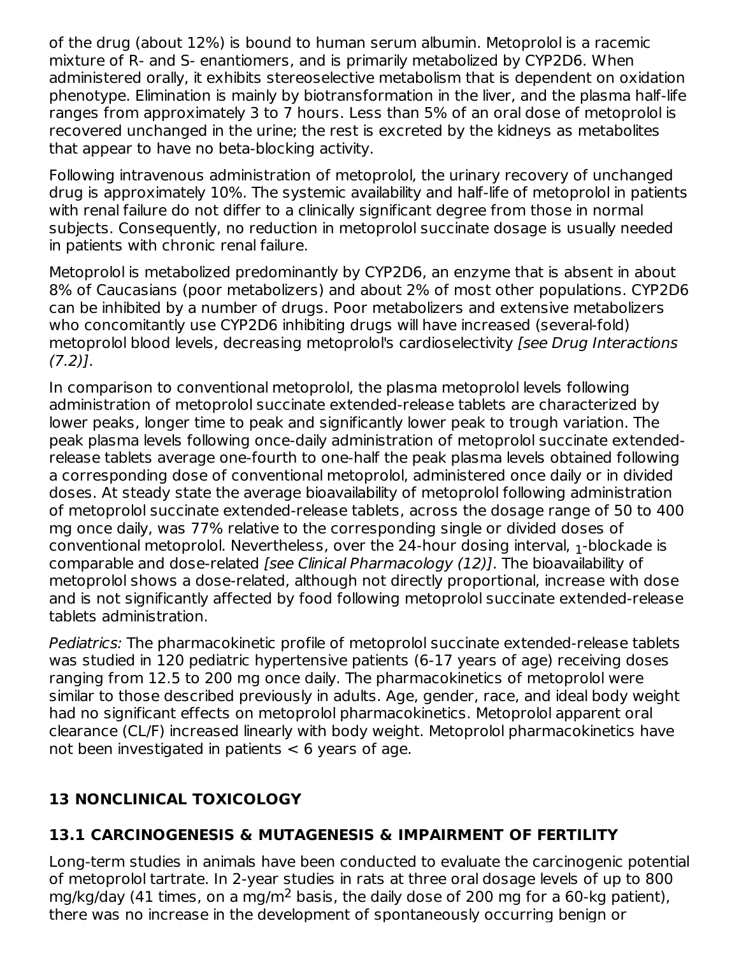of the drug (about 12%) is bound to human serum albumin. Metoprolol is a racemic mixture of R- and S- enantiomers, and is primarily metabolized by CYP2D6. When administered orally, it exhibits stereoselective metabolism that is dependent on oxidation phenotype. Elimination is mainly by biotransformation in the liver, and the plasma half-life ranges from approximately 3 to 7 hours. Less than 5% of an oral dose of metoprolol is recovered unchanged in the urine; the rest is excreted by the kidneys as metabolites that appear to have no beta-blocking activity.

Following intravenous administration of metoprolol, the urinary recovery of unchanged drug is approximately 10%. The systemic availability and half-life of metoprolol in patients with renal failure do not differ to a clinically significant degree from those in normal subjects. Consequently, no reduction in metoprolol succinate dosage is usually needed in patients with chronic renal failure.

Metoprolol is metabolized predominantly by CYP2D6, an enzyme that is absent in about 8% of Caucasians (poor metabolizers) and about 2% of most other populations. CYP2D6 can be inhibited by a number of drugs. Poor metabolizers and extensive metabolizers who concomitantly use CYP2D6 inhibiting drugs will have increased (several-fold) metoprolol blood levels, decreasing metoprolol's cardioselectivity [see Drug Interactions  $(7.2)$ ].

In comparison to conventional metoprolol, the plasma metoprolol levels following administration of metoprolol succinate extended-release tablets are characterized by lower peaks, longer time to peak and significantly lower peak to trough variation. The peak plasma levels following once-daily administration of metoprolol succinate extendedrelease tablets average one-fourth to one-half the peak plasma levels obtained following a corresponding dose of conventional metoprolol, administered once daily or in divided doses. At steady state the average bioavailability of metoprolol following administration of metoprolol succinate extended-release tablets, across the dosage range of 50 to 400 mg once daily, was 77% relative to the corresponding single or divided doses of conventional metoprolol. Nevertheless, over the 24-hour dosing interval,  $_{\rm 1}$ -blockade is comparable and dose-related [see Clinical Pharmacology (12)]. The bioavailability of metoprolol shows a dose-related, although not directly proportional, increase with dose and is not significantly affected by food following metoprolol succinate extended-release tablets administration.

Pediatrics: The pharmacokinetic profile of metoprolol succinate extended-release tablets was studied in 120 pediatric hypertensive patients (6-17 years of age) receiving doses ranging from 12.5 to 200 mg once daily. The pharmacokinetics of metoprolol were similar to those described previously in adults. Age, gender, race, and ideal body weight had no significant effects on metoprolol pharmacokinetics. Metoprolol apparent oral clearance (CL/F) increased linearly with body weight. Metoprolol pharmacokinetics have not been investigated in patients  $<$  6 years of age.

## **13 NONCLINICAL TOXICOLOGY**

# **13.1 CARCINOGENESIS & MUTAGENESIS & IMPAIRMENT OF FERTILITY**

Long-term studies in animals have been conducted to evaluate the carcinogenic potential of metoprolol tartrate. In 2-year studies in rats at three oral dosage levels of up to 800 mg/kg/day (41 times, on a mg/m<sup>2</sup> basis, the daily dose of 200 mg for a 60-kg patient), there was no increase in the development of spontaneously occurring benign or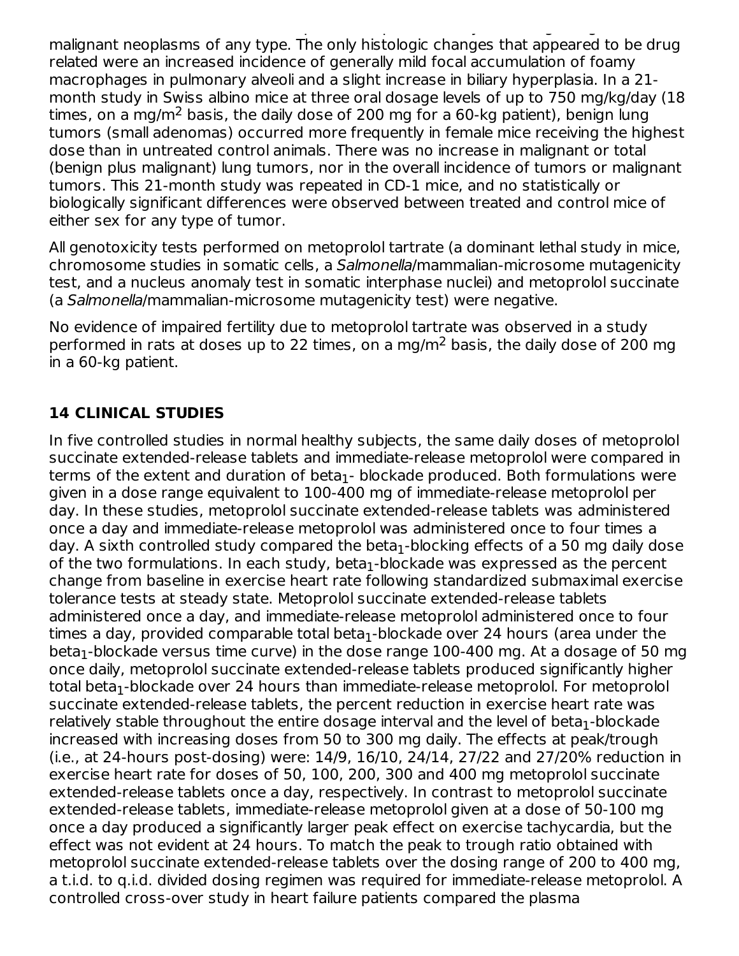there was no increase in the development of spontaneously occurring benign or malignant neoplasms of any type. The only histologic changes that appeared to be drug related were an increased incidence of generally mild focal accumulation of foamy macrophages in pulmonary alveoli and a slight increase in biliary hyperplasia. In a 21 month study in Swiss albino mice at three oral dosage levels of up to 750 mg/kg/day (18 times, on a mg/m<sup>2</sup> basis, the daily dose of 200 mg for a 60-kg patient), benign lung tumors (small adenomas) occurred more frequently in female mice receiving the highest dose than in untreated control animals. There was no increase in malignant or total (benign plus malignant) lung tumors, nor in the overall incidence of tumors or malignant tumors. This 21-month study was repeated in CD-1 mice, and no statistically or biologically significant differences were observed between treated and control mice of either sex for any type of tumor.

All genotoxicity tests performed on metoprolol tartrate (a dominant lethal study in mice, chromosome studies in somatic cells, a Salmonella/mammalian-microsome mutagenicity test, and a nucleus anomaly test in somatic interphase nuclei) and metoprolol succinate (a Salmonella/mammalian-microsome mutagenicity test) were negative.

No evidence of impaired fertility due to metoprolol tartrate was observed in a study performed in rats at doses up to 22 times, on a mg/m<sup>2</sup> basis, the daily dose of 200 mg in a 60-kg patient.

#### **14 CLINICAL STUDIES**

In five controlled studies in normal healthy subjects, the same daily doses of metoprolol succinate extended-release tablets and immediate-release metoprolol were compared in terms of the extent and duration of beta $_{\rm 1}$ - blockade produced. Both formulations were given in a dose range equivalent to 100-400 mg of immediate-release metoprolol per day. In these studies, metoprolol succinate extended-release tablets was administered once a day and immediate-release metoprolol was administered once to four times a day. A sixth controlled study compared the beta $_1$ -blocking effects of a 50 mg daily dose of the two formulations. In each study, beta $_1$ -blockade was expressed as the percent change from baseline in exercise heart rate following standardized submaximal exercise tolerance tests at steady state. Metoprolol succinate extended-release tablets administered once a day, and immediate-release metoprolol administered once to four times a day, provided comparable total beta $_1$ -blockade over 24 hours (area under the beta $_{\rm 1}$ -blockade versus time curve) in the dose range  $100$ -400 mg. At a dosage of 50 mg once daily, metoprolol succinate extended-release tablets produced significantly higher total beta<sub>1</sub>-blockade over 24 hours than immediate-release metoprolol. For metoprolol succinate extended-release tablets, the percent reduction in exercise heart rate was relatively stable throughout the entire dosage interval and the level of beta $_{\rm 1}$ -blockade increased with increasing doses from 50 to 300 mg daily. The effects at peak/trough (i.e., at 24-hours post-dosing) were: 14/9, 16/10, 24/14, 27/22 and 27/20% reduction in exercise heart rate for doses of 50, 100, 200, 300 and 400 mg metoprolol succinate extended-release tablets once a day, respectively. In contrast to metoprolol succinate extended-release tablets, immediate-release metoprolol given at a dose of 50-100 mg once a day produced a significantly larger peak effect on exercise tachycardia, but the effect was not evident at 24 hours. To match the peak to trough ratio obtained with metoprolol succinate extended-release tablets over the dosing range of 200 to 400 mg, a t.i.d. to q.i.d. divided dosing regimen was required for immediate-release metoprolol. A controlled cross-over study in heart failure patients compared the plasma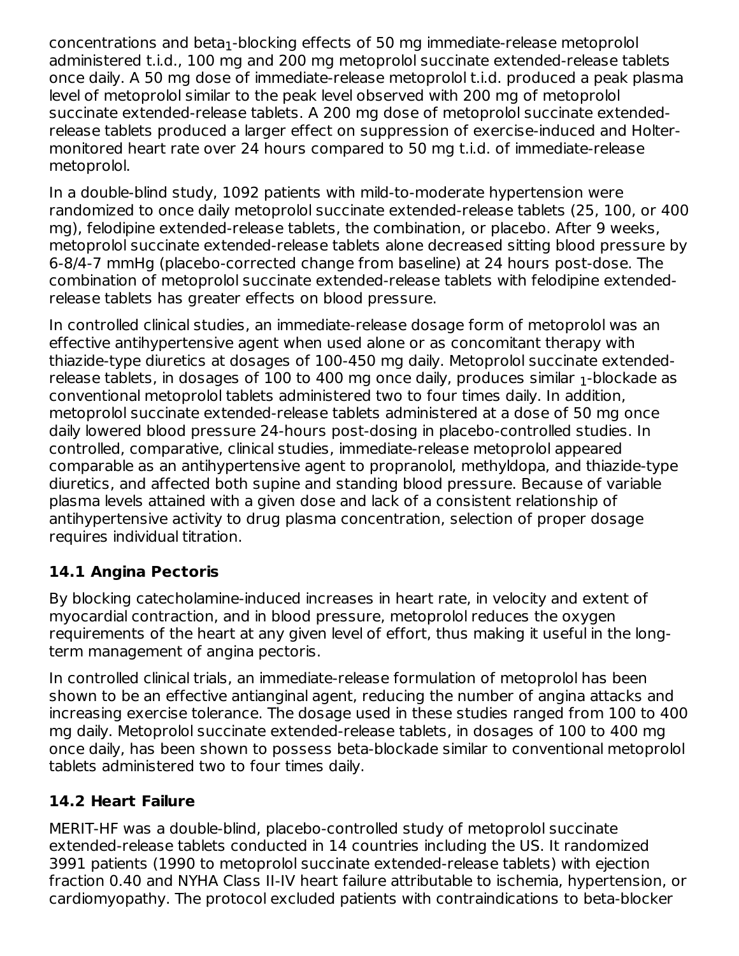concentrations and beta $_{\rm 1}$ -blocking effects of 50 mg immediate-release metoprolol administered t.i.d., 100 mg and 200 mg metoprolol succinate extended-release tablets once daily. A 50 mg dose of immediate-release metoprolol t.i.d. produced a peak plasma level of metoprolol similar to the peak level observed with 200 mg of metoprolol succinate extended-release tablets. A 200 mg dose of metoprolol succinate extendedrelease tablets produced a larger effect on suppression of exercise-induced and Holtermonitored heart rate over 24 hours compared to 50 mg t.i.d. of immediate-release metoprolol.

In a double-blind study, 1092 patients with mild-to-moderate hypertension were randomized to once daily metoprolol succinate extended-release tablets (25, 100, or 400 mg), felodipine extended-release tablets, the combination, or placebo. After 9 weeks, metoprolol succinate extended-release tablets alone decreased sitting blood pressure by 6-8/4-7 mmHg (placebo-corrected change from baseline) at 24 hours post-dose. The combination of metoprolol succinate extended-release tablets with felodipine extendedrelease tablets has greater effects on blood pressure.

In controlled clinical studies, an immediate-release dosage form of metoprolol was an effective antihypertensive agent when used alone or as concomitant therapy with thiazide-type diuretics at dosages of 100-450 mg daily. Metoprolol succinate extendedrelease tablets, in dosages of  $100$  to 400 mg once daily, produces similar  $_1$ -blockade as conventional metoprolol tablets administered two to four times daily. In addition, metoprolol succinate extended-release tablets administered at a dose of 50 mg once daily lowered blood pressure 24-hours post-dosing in placebo-controlled studies. In controlled, comparative, clinical studies, immediate-release metoprolol appeared comparable as an antihypertensive agent to propranolol, methyldopa, and thiazide-type diuretics, and affected both supine and standing blood pressure. Because of variable plasma levels attained with a given dose and lack of a consistent relationship of antihypertensive activity to drug plasma concentration, selection of proper dosage requires individual titration.

#### **14.1 Angina Pectoris**

By blocking catecholamine-induced increases in heart rate, in velocity and extent of myocardial contraction, and in blood pressure, metoprolol reduces the oxygen requirements of the heart at any given level of effort, thus making it useful in the longterm management of angina pectoris.

In controlled clinical trials, an immediate-release formulation of metoprolol has been shown to be an effective antianginal agent, reducing the number of angina attacks and increasing exercise tolerance. The dosage used in these studies ranged from 100 to 400 mg daily. Metoprolol succinate extended-release tablets, in dosages of 100 to 400 mg once daily, has been shown to possess beta-blockade similar to conventional metoprolol tablets administered two to four times daily.

## **14.2 Heart Failure**

MERIT-HF was a double-blind, placebo-controlled study of metoprolol succinate extended-release tablets conducted in 14 countries including the US. It randomized 3991 patients (1990 to metoprolol succinate extended-release tablets) with ejection fraction 0.40 and NYHA Class II-IV heart failure attributable to ischemia, hypertension, or cardiomyopathy. The protocol excluded patients with contraindications to beta-blocker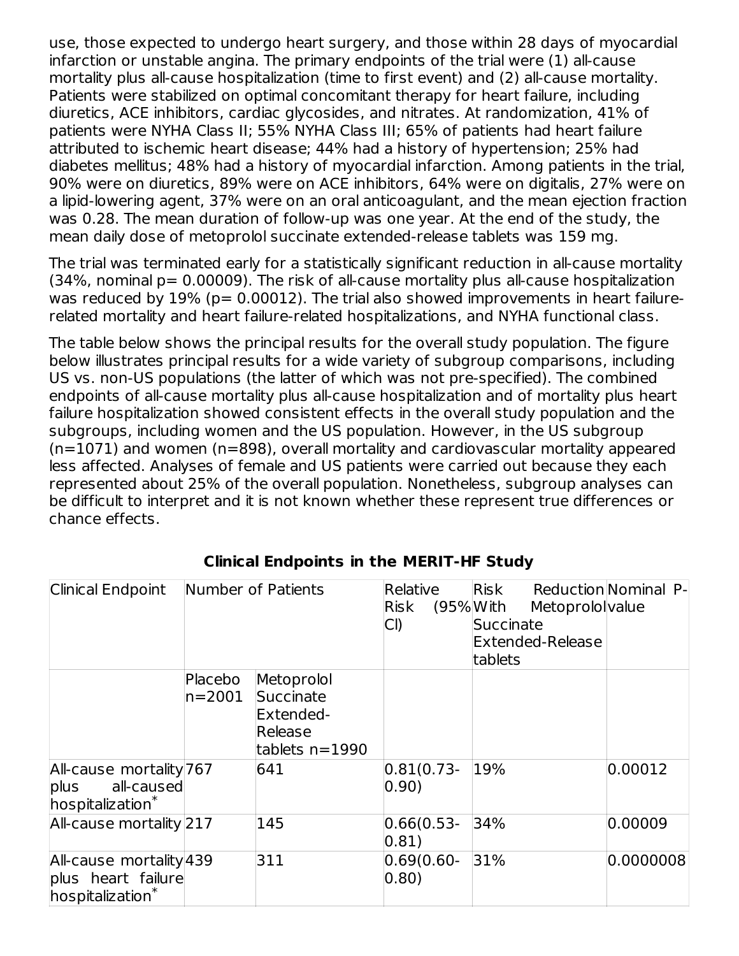use, those expected to undergo heart surgery, and those within 28 days of myocardial infarction or unstable angina. The primary endpoints of the trial were (1) all-cause mortality plus all-cause hospitalization (time to first event) and (2) all-cause mortality. Patients were stabilized on optimal concomitant therapy for heart failure, including diuretics, ACE inhibitors, cardiac glycosides, and nitrates. At randomization, 41% of patients were NYHA Class II; 55% NYHA Class III; 65% of patients had heart failure attributed to ischemic heart disease; 44% had a history of hypertension; 25% had diabetes mellitus; 48% had a history of myocardial infarction. Among patients in the trial, 90% were on diuretics, 89% were on ACE inhibitors, 64% were on digitalis, 27% were on a lipid-lowering agent, 37% were on an oral anticoagulant, and the mean ejection fraction was 0.28. The mean duration of follow-up was one year. At the end of the study, the mean daily dose of metoprolol succinate extended-release tablets was 159 mg.

The trial was terminated early for a statistically significant reduction in all-cause mortality  $(34\%$ , nominal  $p= 0.00009$ ). The risk of all-cause mortality plus all-cause hospitalization was reduced by  $19\%$  ( $p= 0.00012$ ). The trial also showed improvements in heart failurerelated mortality and heart failure-related hospitalizations, and NYHA functional class.

The table below shows the principal results for the overall study population. The figure below illustrates principal results for a wide variety of subgroup comparisons, including US vs. non-US populations (the latter of which was not pre-specified). The combined endpoints of all-cause mortality plus all-cause hospitalization and of mortality plus heart failure hospitalization showed consistent effects in the overall study population and the subgroups, including women and the US population. However, in the US subgroup (n=1071) and women (n=898), overall mortality and cardiovascular mortality appeared less affected. Analyses of female and US patients were carried out because they each represented about 25% of the overall population. Nonetheless, subgroup analyses can be difficult to interpret and it is not known whether these represent true differences or chance effects.

| <b>Clinical Endpoint</b>                                                      | Number of Patients    |                                                                       | Relative<br><b>Risk</b><br>CI)   | Risk<br>(95%With<br>Metoprololvalue<br>Succinate<br><b>Extended-Release</b><br>tablets | Reduction Nominal P- |
|-------------------------------------------------------------------------------|-----------------------|-----------------------------------------------------------------------|----------------------------------|----------------------------------------------------------------------------------------|----------------------|
|                                                                               | Placebo<br>$n = 2001$ | Metoprolol<br>Succinate<br>Extended-<br>Release<br>tablets $n = 1990$ |                                  |                                                                                        |                      |
| All-cause mortality 767<br>all-caused<br>plus<br>hospitalization <sup>*</sup> |                       | 641                                                                   | $ 0.81(0.73-$<br>$ 0.90\rangle$  | 19%                                                                                    | 0.00012              |
| All-cause mortality 217                                                       |                       | 145                                                                   | $ 0.66(0.53 -$<br>(0.81)         | 34%                                                                                    | 0.00009              |
| All-cause mortality 439<br>plus heart failure<br>$h$ ospitalization $*$       |                       | 311                                                                   | $ 0.69(0.60 -$<br>$ 0.80\rangle$ | 31%                                                                                    | 0.0000008            |

#### **Clinical Endpoints in the MERIT-HF Study**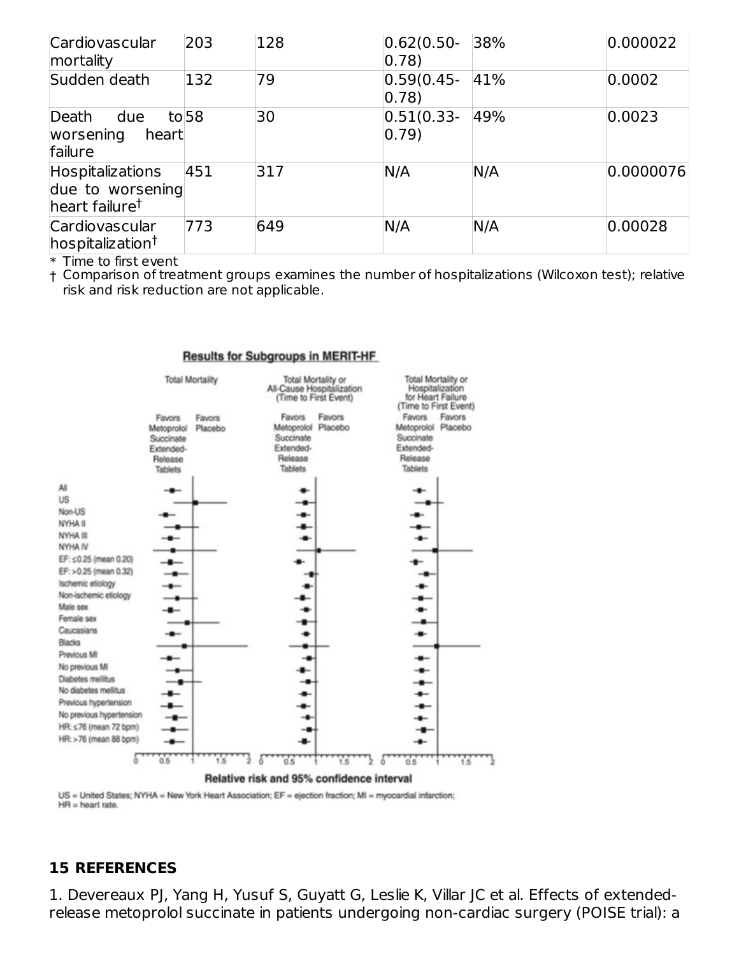| Cardiovascular<br>mortality                                               | 203   | 128 | $0.62(0.50 -$<br>(0.78)         | 38% | 0.000022  |
|---------------------------------------------------------------------------|-------|-----|---------------------------------|-----|-----------|
| Sudden death                                                              | 132   | 79  | $0.59(0.45 -$<br>$ 0.78\rangle$ | 41% | 0.0002    |
| Death<br>due<br>worsening<br>heart<br>failure                             | to 58 | 30  | $0.51(0.33 -$<br>(0.79)         | 49% | 0.0023    |
| <b>Hospitalizations</b><br>due to worsening<br>heart failure <sup>†</sup> | 451   | 317 | N/A                             | N/A | 0.0000076 |
| Cardiovascular<br>hospitalization <sup>†</sup>                            | 773   | 649 | N/A                             | N/A | 0.00028   |

\* Time to first event

† Comparison of treatment groups examines the number of hospitalizations (Wilcoxon test); relative risk and risk reduction are not applicable.



**Results for Subgroups in MERIT-HF** 

US = United States; NYHA = New York Heart Association; EF = ejection fraction; MI = myocardial infarction;  $HR = heart rate.$ 

#### **15 REFERENCES**

1. Devereaux PJ, Yang H, Yusuf S, Guyatt G, Leslie K, Villar JC et al. Effects of extendedrelease metoprolol succinate in patients undergoing non-cardiac surgery (POISE trial): a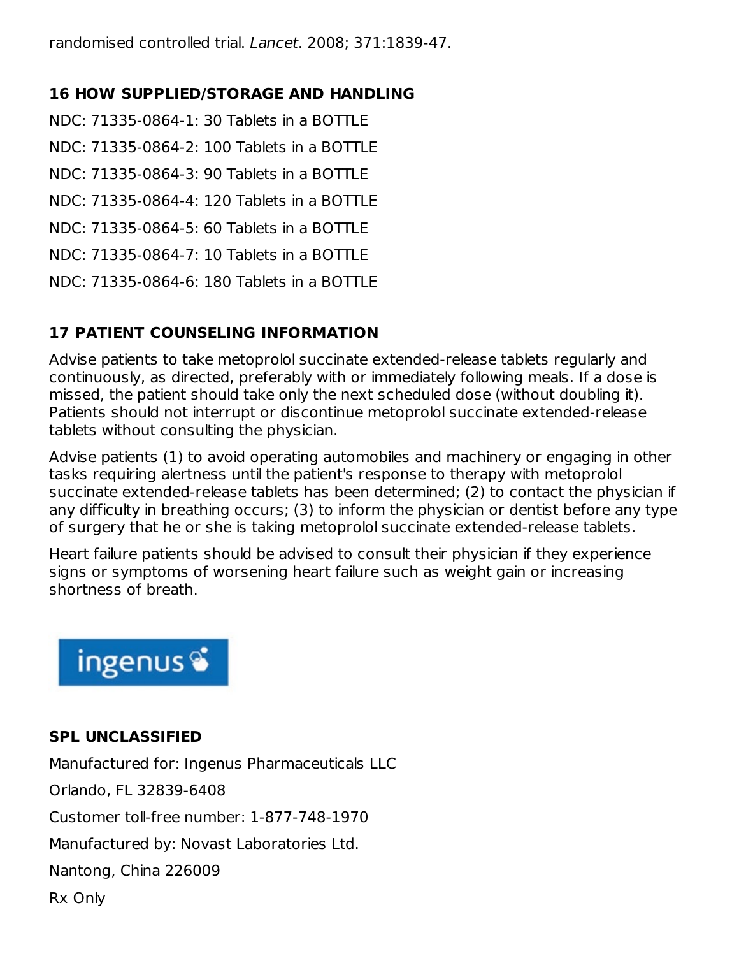randomised controlled trial. Lancet. 2008; 371:1839-47.

#### **16 HOW SUPPLIED/STORAGE AND HANDLING**

NDC: 71335-0864-1: 30 Tablets in a BOTTLE NDC: 71335-0864-2: 100 Tablets in a BOTTLE NDC: 71335-0864-3: 90 Tablets in a BOTTLE NDC: 71335-0864-4: 120 Tablets in a BOTTLE NDC: 71335-0864-5: 60 Tablets in a BOTTLE NDC: 71335-0864-7: 10 Tablets in a BOTTLE NDC: 71335-0864-6: 180 Tablets in a BOTTLE

#### **17 PATIENT COUNSELING INFORMATION**

Advise patients to take metoprolol succinate extended-release tablets regularly and continuously, as directed, preferably with or immediately following meals. If a dose is missed, the patient should take only the next scheduled dose (without doubling it). Patients should not interrupt or discontinue metoprolol succinate extended-release tablets without consulting the physician.

Advise patients (1) to avoid operating automobiles and machinery or engaging in other tasks requiring alertness until the patient's response to therapy with metoprolol succinate extended-release tablets has been determined; (2) to contact the physician if any difficulty in breathing occurs; (3) to inform the physician or dentist before any type of surgery that he or she is taking metoprolol succinate extended-release tablets.

Heart failure patients should be advised to consult their physician if they experience signs or symptoms of worsening heart failure such as weight gain or increasing shortness of breath.

# ingenus<sup>®</sup>

#### **SPL UNCLASSIFIED**

Manufactured for: Ingenus Pharmaceuticals LLC Orlando, FL 32839-6408 Customer toll-free number: 1-877-748-1970 Manufactured by: Novast Laboratories Ltd. Nantong, China 226009 Rx Only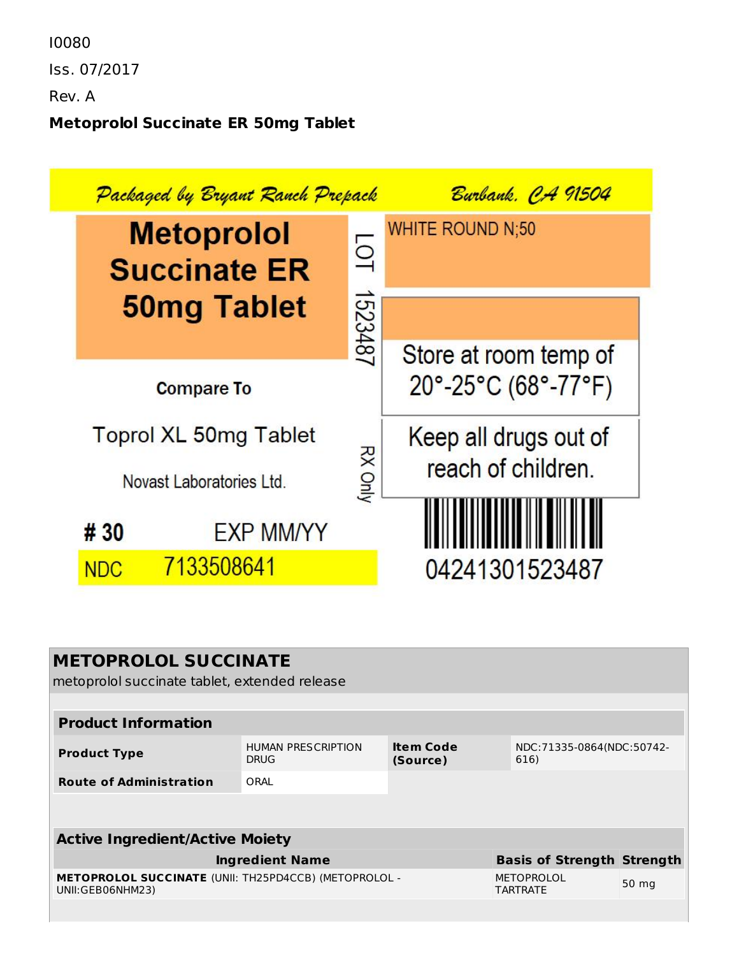|            | Packaged by Bryant Ranch Prepack                  |                | Burbank. CA 91504                                      |
|------------|---------------------------------------------------|----------------|--------------------------------------------------------|
|            | <b>Metoprolol</b><br><b>Succinate ER</b>          | $\overline{Q}$ | <b>WHITE ROUND N;50</b>                                |
|            | <b>50mg Tablet</b>                                | 1523487        |                                                        |
|            | <b>Compare To</b>                                 |                | Store at room temp of<br>$20^{\circ}$ -25°C (68°-77°F) |
|            | Toprol XL 50mg Tablet<br>Novast Laboratories Ltd. | <b>RX Only</b> | Keep all drugs out of<br>reach of children.            |
| # 30       | <b>EXP MM/YY</b>                                  |                |                                                        |
| <b>NDC</b> | 7133508641                                        |                | 04241301523487                                         |

| <b>METOPROLOL SUCCINATE</b><br>metoprolol succinate tablet, extended release     |                                          |                              |                                      |       |  |
|----------------------------------------------------------------------------------|------------------------------------------|------------------------------|--------------------------------------|-------|--|
|                                                                                  |                                          |                              |                                      |       |  |
| <b>Product Information</b>                                                       |                                          |                              |                                      |       |  |
| <b>Product Type</b>                                                              | <b>HUMAN PRESCRIPTION</b><br><b>DRUG</b> | <b>Item Code</b><br>(Source) | NDC: 71335-0864 (NDC: 50742-<br>616) |       |  |
| <b>Route of Administration</b>                                                   | ORAI                                     |                              |                                      |       |  |
|                                                                                  |                                          |                              |                                      |       |  |
|                                                                                  |                                          |                              |                                      |       |  |
| <b>Active Ingredient/Active Moiety</b>                                           |                                          |                              |                                      |       |  |
| <b>Basis of Strength Strength</b><br><b>Ingredient Name</b>                      |                                          |                              |                                      |       |  |
| <b>METOPROLOL SUCCINATE (UNII: TH25PD4CCB) (METOPROLOL -</b><br>UNII:GEB06NHM23) |                                          |                              | <b>METOPROLOL</b><br><b>TARTRATE</b> | 50 mg |  |
|                                                                                  |                                          |                              |                                      |       |  |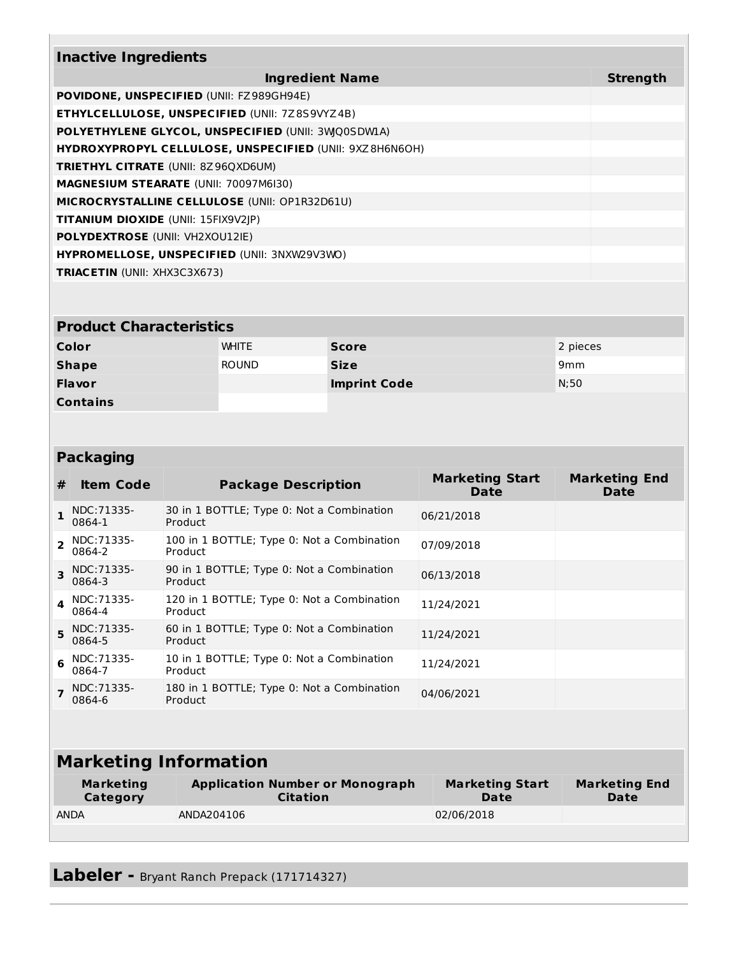| <b>Inactive Ingredients</b>                             |                 |
|---------------------------------------------------------|-----------------|
| <b>Ingredient Name</b>                                  | <b>Strength</b> |
| <b>POVIDONE, UNSPECIFIED (UNII: FZ989GH94E)</b>         |                 |
| <b>ETHYLCELLULOSE, UNSPECIFIED (UNII: 7Z8S9VYZ4B)</b>   |                 |
| POLYETHYLENE GLYCOL, UNSPECIFIED (UNII: 3WQ0SDW1A)      |                 |
| HYDROXYPROPYL CELLULOSE, UNSPECIFIED (UNII: 9XZ8H6N6OH) |                 |
| <b>TRIETHYL CITRATE</b> (UNII: 8Z96QXD6UM)              |                 |
| <b>MAGNESIUM STEARATE (UNII: 70097M6I30)</b>            |                 |
| MICROCRYSTALLINE CELLULOSE (UNII: OP1R32D61U)           |                 |
| <b>TITANIUM DIOXIDE (UNII: 15FIX9V2JP)</b>              |                 |
| <b>POLYDEXTROSE (UNII: VH2XOU12IE)</b>                  |                 |
| <b>HYPROMELLOSE, UNSPECIFIED (UNII: 3NXW29V3WO)</b>     |                 |
| <b>TRIACETIN</b> (UNII: XHX3C3X673)                     |                 |

#### **Product Characteristics**

| Color           | <b>WHITE</b> | <b>Score</b>        | 2 pieces        |
|-----------------|--------------|---------------------|-----------------|
| <b>Shape</b>    | <b>ROUND</b> | <b>Size</b>         | 9 <sub>mm</sub> |
| <b>Flavor</b>   |              | <b>Imprint Code</b> | N:50            |
| <b>Contains</b> |              |                     |                 |

#### **Packaging**

| 30 in 1 BOTTLE; Type 0: Not a Combination<br>NDC: 71335-<br>06/21/2018<br>0864-1<br><b>Product</b><br>NDC: 71335-<br>100 in 1 BOTTLE; Type 0: Not a Combination<br>$\overline{2}$<br>07/09/2018<br>0864-2<br>Product<br>90 in 1 BOTTLE; Type 0: Not a Combination<br>3 NDC:71335-<br>06/13/2018<br>0864-3<br><b>Product</b><br>120 in 1 BOTTLE; Type 0: Not a Combination<br>NDC: 71335-<br>4<br>11/24/2021<br>0864-4<br>Product<br>60 in 1 BOTTLE; Type 0: Not a Combination<br>5 NDC: 71335-<br>11/24/2021<br>0864-5<br>Product<br>NDC: 71335-<br>10 in 1 BOTTLE; Type 0: Not a Combination<br>6<br>11/24/2021 | <b>Marketing Start</b><br><b>Marketing End</b><br><b>Date</b> |
|------------------------------------------------------------------------------------------------------------------------------------------------------------------------------------------------------------------------------------------------------------------------------------------------------------------------------------------------------------------------------------------------------------------------------------------------------------------------------------------------------------------------------------------------------------------------------------------------------------------|---------------------------------------------------------------|
|                                                                                                                                                                                                                                                                                                                                                                                                                                                                                                                                                                                                                  |                                                               |
|                                                                                                                                                                                                                                                                                                                                                                                                                                                                                                                                                                                                                  |                                                               |
|                                                                                                                                                                                                                                                                                                                                                                                                                                                                                                                                                                                                                  |                                                               |
|                                                                                                                                                                                                                                                                                                                                                                                                                                                                                                                                                                                                                  |                                                               |
|                                                                                                                                                                                                                                                                                                                                                                                                                                                                                                                                                                                                                  |                                                               |
| 0864-7<br>Product                                                                                                                                                                                                                                                                                                                                                                                                                                                                                                                                                                                                |                                                               |
| 180 in 1 BOTTLE; Type 0: Not a Combination<br>NDC: 71335-<br>04/06/2021<br>0864-6<br>Product                                                                                                                                                                                                                                                                                                                                                                                                                                                                                                                     |                                                               |

# **Marketing Information**

| Marketing | <b>Application Number or Monograph</b> | <b>Marketing Start</b> | <b>Marketing End</b> |
|-----------|----------------------------------------|------------------------|----------------------|
| Category  | <b>Citation</b>                        | Date                   | Date                 |
| ANDA      | ANDA204106                             | 02/06/2018             |                      |

**Labeler -** Bryant Ranch Prepack (171714327)